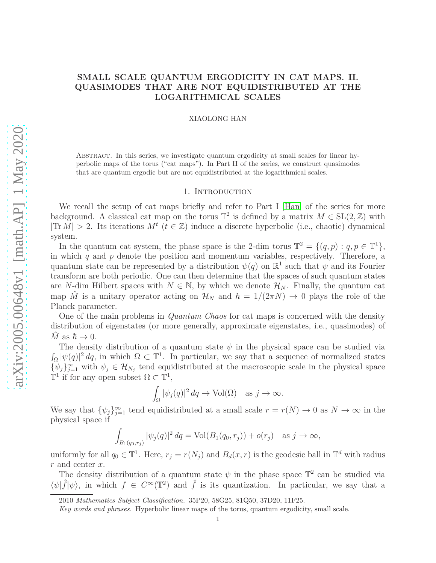# **SMALL SCALE QUANTUM ERGODICITY IN CAT MAPS. II. QUASIMODES THAT ARE NOT EQUIDISTRIBUTED AT THE LOGARITHMICAL SCALES**

#### XIAOLONG HAN

Abstract. In this series, we investigate quantum ergodicity at small scales for linear hyperbolic maps of the torus ("cat maps"). In Part II of the series, we construct quasimodes that are quantum ergodic but are not equidistributed at the logarithmical scales.

# 1. Introduction

We recall the setup of cat maps briefly and refer to Part I [\[Han\]](#page-21-0) of the series for more background. A classical cat map on the torus  $\mathbb{T}^2$  is defined by a matrix  $M \in SL(2, \mathbb{Z})$  with  $|\text{Tr } M| > 2$ . Its iterations  $M^t$  ( $t \in \mathbb{Z}$ ) induce a discrete hyperbolic (i.e., chaotic) dynamical system.

In the quantum cat system, the phase space is the 2-dim torus  $\mathbb{T}^2 = \{(q, p) : q, p \in \mathbb{T}^1\},\$ in which *q* and *p* denote the position and momentum variables, respectively. Therefore, a quantum state can be represented by a distribution  $\psi(q)$  on  $\mathbb{R}^1$  such that  $\psi$  and its Fourier transform are both periodic. One can then determine that the spaces of such quantum states are *N*-dim Hilbert spaces with  $N \in \mathbb{N}$ , by which we denote  $\mathcal{H}_N$ . Finally, the quantum cat map  $\hat{M}$  is a unitary operator acting on  $\mathcal{H}_N$  and  $\hbar = 1/(2\pi N) \to 0$  plays the role of the Planck parameter.

One of the main problems in *Quantum Chaos* for cat maps is concerned with the density distribution of eigenstates (or more generally, approximate eigenstates, i.e., quasimodes) of  $\hat{M}$  as  $\hbar \to 0$ .

The density distribution of a quantum state  $\psi$  in the physical space can be studied via  $\int_{\Omega} |\psi(q)|^2 dq$ , in which  $\Omega \subset \mathbb{T}^1$ . In particular, we say that a sequence of normalized states  $\{\psi_j\}_{j=1}^{\infty}$  with  $\psi_j \in \mathcal{H}_{N_j}$  tend equidistributed at the macroscopic scale in the physical space  $\mathbb{T}^1$  if for any open subset  $\Omega \subset \mathbb{T}^1$ ,

$$
\int_{\Omega} |\psi_j(q)|^2 dq \to \text{Vol}(\Omega) \quad \text{as } j \to \infty.
$$

We say that  $\{\psi_j\}_{j=1}^{\infty}$  tend equidistributed at a small scale  $r = r(N) \to 0$  as  $N \to \infty$  in the physical space if

$$
\int_{B_1(q_0,r_j)} |\psi_j(q)|^2 dq = \text{Vol}(B_1(q_0,r_j)) + o(r_j) \text{ as } j \to \infty,
$$

uniformly for all  $q_0 \in \mathbb{T}^1$ . Here,  $r_j = r(N_j)$  and  $B_d(x, r)$  is the geodesic ball in  $\mathbb{T}^d$  with radius *r* and center *x*.

The density distribution of a quantum state  $\psi$  in the phase space  $\mathbb{T}^2$  can be studied via  $\langle \psi | \hat{f} | \psi \rangle$ , in which  $f \in C^{\infty}(\mathbb{T}^2)$  and  $\hat{f}$  is its quantization. In particular, we say that a

<sup>2010</sup> *Mathematics Subject Classification.* 35P20, 58G25, 81Q50, 37D20, 11F25.

*Key words and phrases.* Hyperbolic linear maps of the torus, quantum ergodicity, small scale.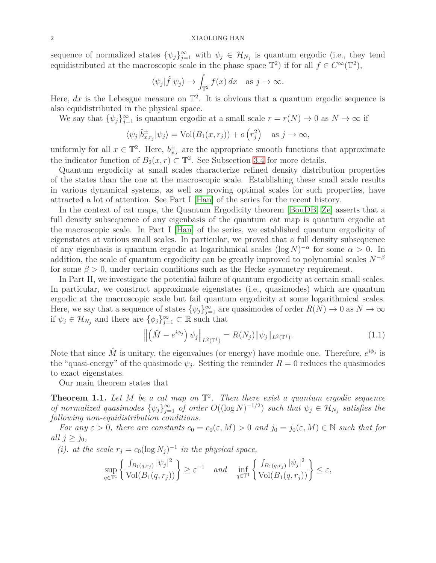sequence of normalized states  $\{\psi_j\}_{j=1}^{\infty}$  with  $\psi_j \in \mathcal{H}_{N_j}$  is quantum ergodic (i.e., they tend equidistributed at the macroscopic scale in the phase space  $\mathbb{T}^2$ ) if for all  $f \in C^{\infty}(\mathbb{T}^2)$ ,

$$
\langle \psi_j | \hat{f} | \psi_j \rangle \to \int_{\mathbb{T}^2} f(x) dx
$$
 as  $j \to \infty$ .

Here,  $dx$  is the Lebesgue measure on  $\mathbb{T}^2$ . It is obvious that a quantum ergodic sequence is also equidistributed in the physical space.

We say that  $\{\psi_j\}_{j=1}^{\infty}$  is quantum ergodic at a small scale  $r = r(N) \to 0$  as  $N \to \infty$  if

$$
\langle \psi_j | \hat{b}_{x,r_j}^{\pm} | \psi_j \rangle = \text{Vol}(B_1(x,r_j)) + o(r_j^2) \quad \text{as } j \to \infty,
$$

uniformly for all  $x \in \mathbb{T}^2$ . Here,  $b_{x,r}^{\pm}$  are the appropriate smooth functions that approximate the indicator function of  $B_2(x, r) \subset \mathbb{T}^2$ . See Subsection [3.4](#page-13-0) for more details.

Quantum ergodicity at small scales characterize refined density distribution properties of the states than the one at the macroscopic scale. Establishing these small scale results in various dynamical systems, as well as proving optimal scales for such properties, have attracted a lot of attention. See Part I [\[Han\]](#page-21-0) of the series for the recent history.

In the context of cat maps, the Quantum Ergodicity theorem [\[BouDB,](#page-20-0) [Ze\]](#page-21-1) asserts that a full density subsequence of any eigenbasis of the quantum cat map is quantum ergodic at the macroscopic scale. In Part I [\[Han\]](#page-21-0) of the series, we established quantum ergodicity of eigenstates at various small scales. In particular, we proved that a full density subsequence of any eigenbasis is quantum ergodic at logarithmical scales  $(\log N)^{-\alpha}$  for some  $\alpha > 0$ . In addition, the scale of quantum ergodicity can be greatly improved to polynomial scales  $N^{-\beta}$ for some  $\beta > 0$ , under certain conditions such as the Hecke symmetry requirement.

In Part II, we investigate the potential failure of quantum ergodicity at certain small scales. In particular, we construct approximate eigenstates (i.e., quasimodes) which are quantum ergodic at the macroscopic scale but fail quantum ergodicity at some logarithmical scales. Here, we say that a sequence of states  $\{\psi_j\}_{j=1}^{\infty}$  are quasimodes of order  $R(N) \to 0$  as  $N \to \infty$ if  $\psi_j \in \mathcal{H}_{N_j}$  and there are  $\{\phi_j\}_{j=1}^{\infty} \subset \mathbb{R}$  such that

<span id="page-1-1"></span>
$$
\left\| \left( \hat{M} - e^{i\phi_j} \right) \psi_j \right\|_{L^2(\mathbb{T}^1)} = R(N_j) \|\psi_j\|_{L^2(\mathbb{T}^1)}.
$$
\n(1.1)

Note that since  $\hat{M}$  is unitary, the eigenvalues (or energy) have module one. Therefore,  $e^{i\phi_j}$  is the "quasi-energy" of the quasimode  $\psi_j$ . Setting the reminder  $R=0$  reduces the quasimodes to exact eigenstates.

Our main theorem states that

<span id="page-1-0"></span>**Theorem 1.1.** Let  $M$  be a cat map on  $\mathbb{T}^2$ . Then there exist a quantum ergodic sequence *of normalized quasimodes*  $\{\psi_j\}_{j=1}^{\infty}$  *of order*  $O((\log N)^{-1/2})$  *such that*  $\psi_j \in \mathcal{H}_{N_j}$  *satisfies the following non-equidistribution conditions.*

*For any*  $\varepsilon > 0$ *, there are constants*  $c_0 = c_0(\varepsilon, M) > 0$  *and*  $j_0 = j_0(\varepsilon, M) \in \mathbb{N}$  *such that for all*  $j \geq j_0$ *,* 

*(i). at the scale*  $r_j = c_0(\log N_j)^{-1}$  *in the physical space,* 

$$
\sup_{q\in\mathbb{T}^1} \left\{ \frac{\int_{B_1(q,r_j)} |\psi_j|^2}{\text{Vol}(B_1(q,r_j))} \right\} \ge \varepsilon^{-1} \quad \text{and} \quad \inf_{q\in\mathbb{T}^1} \left\{ \frac{\int_{B_1(q,r_j)} |\psi_j|^2}{\text{Vol}(B_1(q,r_j))} \right\} \le \varepsilon,
$$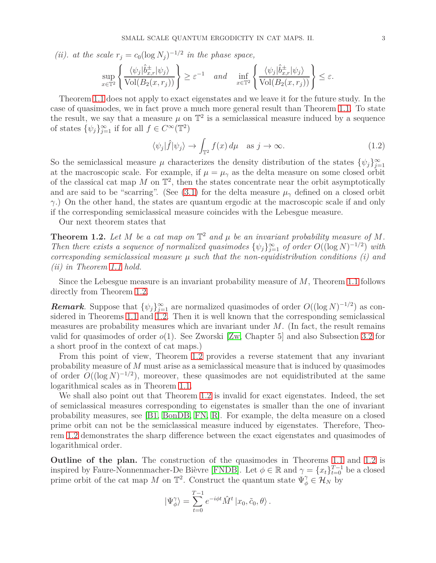(ii). at the scale 
$$
r_j = c_0 (\log N_j)^{-1/2}
$$
 in the phase space,  
\n
$$
\sup_{x \in \mathbb{T}^2} \left\{ \frac{\langle \psi_j | \hat{b}_{x,r}^{\pm} | \psi_j \rangle}{\text{Vol}(B_2(x, r_j))} \right\} \geq \varepsilon^{-1} \quad and \quad \inf_{x \in \mathbb{T}^2} \left\{ \frac{\langle \psi_j | \hat{b}_{x,r}^{\pm} | \psi_j \rangle}{\text{Vol}(B_2(x, r_j))} \right\} \leq \varepsilon.
$$

Theorem [1.1](#page-1-0) does not apply to exact eigenstates and we leave it for the future study. In the case of quasimodes, we in fact prove a much more general result than Theorem [1.1.](#page-1-0) To state the result, we say that a measure  $\mu$  on  $\mathbb{T}^2$  is a semiclassical measure induced by a sequence of states  $\{\psi_j\}_{j=1}^{\infty}$  if for all  $f \in C^{\infty}(\mathbb{T}^2)$ 

<span id="page-2-1"></span>
$$
\langle \psi_j | \hat{f} | \psi_j \rangle \to \int_{\mathbb{T}^2} f(x) \, d\mu \quad \text{as } j \to \infty. \tag{1.2}
$$

So the semiclassical measure  $\mu$  characterizes the density distribution of the states  $\{\psi_j\}_{j=1}^{\infty}$ at the macroscopic scale. For example, if  $\mu = \mu_{\gamma}$  as the delta measure on some closed orbit of the classical cat map  $M$  on  $\mathbb{T}^2$ , then the states concentrate near the orbit asymptotically and are said to be "scarring". (See [\(3.1\)](#page-9-0) for the delta measure  $\mu_{\gamma}$  defined on a closed orbit *γ*.) On the other hand, the states are quantum ergodic at the macroscopic scale if and only if the corresponding semiclassical measure coincides with the Lebesgue measure.

Our next theorem states that

<span id="page-2-0"></span>**Theorem 1.2.** Let M be a cat map on  $\mathbb{T}^2$  and  $\mu$  be an invariant probability measure of M. *Then there exists a sequence of normalized quasimodes*  $\{\psi_j\}_{j=1}^{\infty}$  *of order*  $O((\log N)^{-1/2})$  *with corresponding semiclassical measure µ such that the non-equidistribution conditions (i) and (ii) in Theorem [1.1](#page-1-0) hold.*

Since the Lebesgue measure is an invariant probability measure of *M*, Theorem [1.1](#page-1-0) follows directly from Theorem [1.2.](#page-2-0)

*Remark.* Suppose that  $\{\psi_j\}_{j=1}^{\infty}$  are normalized quasimodes of order  $O((\log N)^{-1/2})$  as considered in Theorems [1.1](#page-1-0) and [1.2.](#page-2-0) Then it is well known that the corresponding semiclassical measures are probability measures which are invariant under *M*. (In fact, the result remains valid for quasimodes of order *o*(1). See Zworski [\[Zw,](#page-21-2) Chapter 5] and also Subsection [3.2](#page-10-0) for a short proof in the context of cat maps.)

From this point of view, Theorem [1.2](#page-2-0) provides a reverse statement that any invariant probability measure of *M* must arise as a semiclassical measure that is induced by quasimodes of order  $O((\log N)^{-1/2})$ , moreover, these quasimodes are not equidistributed at the same logarithmical scales as in Theorem [1.1.](#page-1-0)

We shall also point out that Theorem [1.2](#page-2-0) is invalid for exact eigenstates. Indeed, the set of semiclassical measures corresponding to eigenstates is smaller than the one of invariant probability measures, see [\[B1,](#page-20-1) [BonDB,](#page-20-2) [FN,](#page-20-3) [R\]](#page-21-3). For example, the delta measure on a closed prime orbit can not be the semiclassical measure induced by eigenstates. Therefore, Theorem [1.2](#page-2-0) demonstrates the sharp difference between the exact eigenstates and quasimodes of logarithmical order.

**Outline of the plan.** The construction of the quasimodes in Theorems [1.1](#page-1-0) and [1.2](#page-2-0) is inspired by Faure-Nonnenmacher-De Bièvre [\[FNDB\]](#page-21-4). Let  $\phi \in \mathbb{R}$  and  $\gamma = \{x_t\}_{t=0}^{T-1}$  be a closed prime orbit of the cat map *M* on  $\mathbb{T}^2$ . Construct the quantum state  $\Psi^{\gamma}_{\phi} \in \mathcal{H}_N$  by

$$
|\Psi_{\phi}^{\gamma}\rangle = \sum_{t=0}^{T-1} e^{-i\phi t} \hat{M}^{t} |x_0, \tilde{c}_0, \theta\rangle.
$$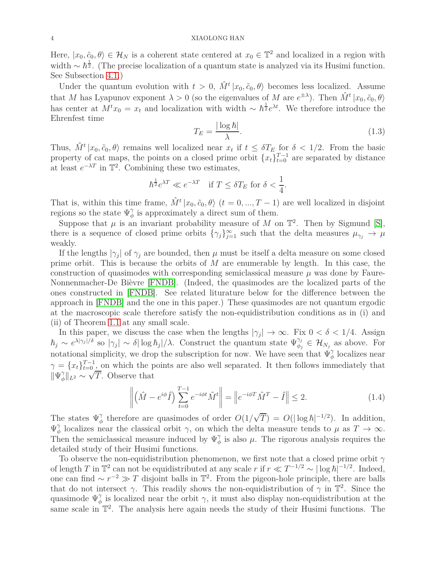Here,  $|x_0, \tilde{c}_0, \theta \rangle \in \mathcal{H}_N$  is a coherent state centered at  $x_0 \in \mathbb{T}^2$  and localized in a region with width  $\sim \hbar^{\frac{1}{2}}$ . (The precise localization of a quantum state is analyzed via its Husimi function. See Subsection [4.1.](#page-15-0))

Under the quantum evolution with  $t > 0$ ,  $\hat{M}^t | x_0, \tilde{c}_0, \theta$  becomes less localized. Assume that *M* has Lyapunov exponent  $\lambda > 0$  (so the eigenvalues of *M* are  $e^{\pm \lambda}$ ). Then  $\hat{M}^t | x_0, \tilde{c}_0, \theta$ ) has center at  $M^t x_0 = x_t$  and localization with width ~  $\hbar^{\frac{1}{2}} e^{\lambda t}$ . We therefore introduce the Ehrenfest time

<span id="page-3-0"></span>
$$
T_E = \frac{|\log \hbar|}{\lambda}.\tag{1.3}
$$

Thus,  $\hat{M}^t | x_0, \tilde{c}_0, \theta$  remains well localized near  $x_t$  if  $t \leq \delta T_E$  for  $\delta < 1/2$ . From the basic property of cat maps, the points on a closed prime orbit  $\{x_t\}_{t=0}^{T-1}$  are separated by distance at least  $e^{-\lambda T}$  in  $\mathbb{T}^2$ . Combining these two estimates,

$$
\hbar^{\frac{1}{2}}e^{\lambda T} \ll e^{-\lambda T} \quad \text{if } T \leq \delta T_E \text{ for } \delta < \frac{1}{4}.
$$

That is, within this time frame,  $\hat{M}^t | x_0, \tilde{c}_0, \theta \rangle$  ( $t = 0, ..., T - 1$ ) are well localized in disjoint regions so the state  $\Psi^{\gamma}_{\phi}$  is approximately a direct sum of them.

Suppose that  $\mu$  is an invariant probability measure of *M* on  $\mathbb{T}^2$ . Then by Sigmund [\[S\]](#page-21-5), there is a sequence of closed prime orbits  $\{\gamma_j\}_{j=1}^{\infty}$  such that the delta measures  $\mu_{\gamma_j} \to \mu$ weakly.

If the lengths  $|\gamma_j|$  of  $\gamma_j$  are bounded, then  $\mu$  must be itself a delta measure on some closed prime orbit. This is because the orbits of *M* are enumerable by length. In this case, the construction of quasimodes with corresponding semiclassical measure  $\mu$  was done by Faure-Nonnenmacher-De Bièvre [\[FNDB\]](#page-21-4). (Indeed, the quasimodes are the localized parts of the ones constructed in [\[FNDB\]](#page-21-4). See related liturature below for the difference between the approach in [\[FNDB\]](#page-21-4) and the one in this paper.) These quasimodes are not quantum ergodic at the macroscopic scale therefore satisfy the non-equidistribution conditions as in (i) and (ii) of Theorem [1.1](#page-1-0) at any small scale.

In this paper, we discuss the case when the lengths  $|\gamma_j| \to \infty$ . Fix  $0 < \delta < 1/4$ . Assign  $\hbar_j \sim e^{\lambda |\gamma_j|/\delta}$  so  $|\gamma_j| \sim \delta |\log \hbar_j|/\lambda$ . Construct the quantum state  $\Psi_{\phi_j}^{\gamma_j} \in \mathcal{H}_{N_j}$  as above. For notational simplicity, we drop the subscription for now. We have seen that  $\Psi^{\gamma}_{\phi}$  localizes near  $\gamma = \{x_t\}_{t=0}^{T-1}$  on which the points are also well separated. It then follows immediately that  $\|\Psi_\phi^\gamma$  $\phi$ <sup>|</sup>| $L^2$  ∼  $\sqrt{T}$ . Observe that

<span id="page-3-1"></span>
$$
\left\| \left( \hat{M} - e^{i\phi} \hat{I} \right) \sum_{t=0}^{T-1} e^{-i\phi t} \hat{M}^t \right\| = \left\| e^{-i\phi T} \hat{M}^T - \hat{I} \right\| \le 2. \tag{1.4}
$$

The states  $\Psi_{\phi}^{\gamma}$  therefore are quasimodes of order  $O(1/\sqrt{T}) = O(|\log \hbar|^{-1/2})$ . In addition, Ψ *γ φ* localizes near the classical orbit *γ*, on which the delta measure tends to *μ* as  $T \to \infty$ . Then the semiclassical measure induced by  $\Psi^{\gamma}_{\phi}$  is also  $\mu$ . The rigorous analysis requires the detailed study of their Husimi functions.

To observe the non-equidistribution phenomenon, we first note that a closed prime orbit *γ* of length *T* in  $\mathbb{T}^2$  can not be equidistributed at any scale *r* if  $r \ll T^{-1/2} \sim |\log \hbar|^{-1/2}$ . Indeed, one can find  $\sim r^{-2} \gg T$  disjoint balls in  $\mathbb{T}^2$ . From the pigeon-hole principle, there are balls that do not intersect  $\gamma$ . This readily shows the non-equidistribution of  $\gamma$  in  $\mathbb{T}^2$ . Since the quasimode  $\Psi^{\gamma}_{\phi}$  is localized near the orbit  $\gamma$ , it must also display non-equidistribution at the same scale in  $\mathbb{T}^2$ . The analysis here again needs the study of their Husimi functions. The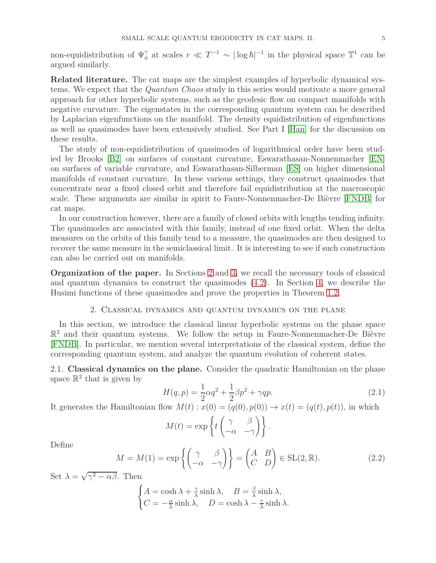non-equidistribution of  $\Psi^{\gamma}_{\phi}$  at scales  $r \ll T^{-1} \sim |\log \hbar|^{-1}$  in the physical space  $\mathbb{T}^1$  can be argued similarly.

**Related literature.** The cat maps are the simplest examples of hyperbolic dynamical systems. We expect that the *Quantum Chaos* study in this series would motivate a more general approach for other hyperbolic systems, such as the geodesic flow on compact manifolds with negative curvature. The eigenstates in the corresponding quantum system can be described by Laplacian eigenfunctions on the manifold. The density equidistribution of eigenfunctions as well as quasimodes have been extensively studied. See Part I [\[Han\]](#page-21-0) for the discussion on these results.

The study of non-equidistribution of quasimodes of logarithmical order have been studied by Brooks [\[B2\]](#page-20-4) on surfaces of constant curvature, Eswarathasan-Nonnenmacher [\[EN\]](#page-21-6) on surfaces of variable curvature, and Eswarathasan-Silberman [\[ES\]](#page-21-7) on higher dimensional manifolds of constant curvature. In these various settings, they construct quasimodes that concentrate near a fixed closed orbit and therefore fail equidistribution at the macroscopic scale. These arguments are similar in spirit to Faure-Nonnenmacher-De Bièvre [\[FNDB\]](#page-21-4) for cat maps.

In our construction however, there are a family of closed orbits with lengths tending infinity. The quasimodes are associated with this family, instead of one fixed orbit. When the delta measures on the orbits of this family tend to a measure, the quasimodes are then designed to recover the same measure in the semiclassical limit. It is interesting to see if such construction can also be carried out on manifolds.

**Organization of the paper.** In Sections [2](#page-4-0) and [3,](#page-8-0) we recall the necessary tools of classical and quantum dynamics to construct the quasimodes [\(4.2\)](#page-15-1). In Section [4,](#page-15-2) we describe the Husimi functions of these quasimodes and prove the properties in Theorem [1.2.](#page-2-0)

# 2. Classical dynamics and quantum dynamics on the plane

<span id="page-4-0"></span>In this section, we introduce the classical linear hyperbolic systems on the phase space  $\mathbb{R}^2$  and their quantum systems. We follow the setup in Faure-Nonnenmacher-De Bièvre [\[FNDB\]](#page-21-4). In particular, we mention several interpretations of the classical system, define the corresponding quantum system, and analyze the quantum evolution of coherent states.

2.1. **Classical dynamics on the plane.** Consider the quadratic Hamiltonian on the phase space  $\mathbb{R}^2$  that is given by

<span id="page-4-1"></span>
$$
H(q, p) = \frac{1}{2}\alpha q^2 + \frac{1}{2}\beta p^2 + \gamma q p.
$$
\n(2.1)

It generates the Hamiltonian flow  $M(t)$ :  $x(0) = (q(0), p(0)) \rightarrow x(t) = (q(t), p(t))$ , in which

$$
M(t) = \exp\left\{t \begin{pmatrix} \gamma & \beta \\ -\alpha & -\gamma \end{pmatrix} \right\}.
$$

Define

<span id="page-4-2"></span>
$$
M = M(1) = \exp\left\{ \begin{pmatrix} \gamma & \beta \\ -\alpha & -\gamma \end{pmatrix} \right\} = \begin{pmatrix} A & B \\ C & D \end{pmatrix} \in SL(2, \mathbb{R}).
$$
 (2.2)

Set  $\lambda = \sqrt{\gamma^2 - \alpha \beta}$ . Then

$$
\begin{cases} A = \cosh \lambda + \frac{\gamma}{\lambda} \sinh \lambda, & B = \frac{\beta}{\lambda} \sinh \lambda, \\ C = -\frac{\alpha}{\lambda} \sinh \lambda, & D = \cosh \lambda - \frac{\gamma}{\lambda} \sinh \lambda. \end{cases}
$$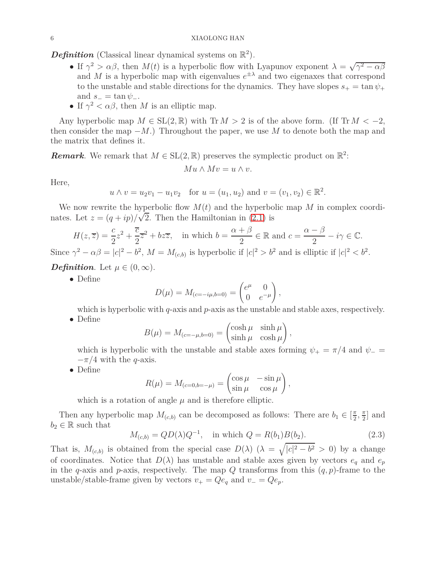**Definition** (Classical linear dynamical systems on  $\mathbb{R}^2$ ).

- If  $\gamma^2 > \alpha \beta$ , then  $M(t)$  is a hyperbolic flow with Lyapunov exponent  $\lambda = \sqrt{\gamma^2 \alpha \beta}$ and *M* is a hyperbolic map with eigenvalues  $e^{\pm \lambda}$  and two eigenaxes that correspond to the unstable and stable directions for the dynamics. They have slopes  $s_{+} = \tan \psi_{+}$ and  $s_-=\tan\psi_-\$ .
- If  $\gamma^2 < \alpha \beta$ , then *M* is an elliptic map.

Any hyperbolic map  $M \in SL(2,\mathbb{R})$  with  $Tr M > 2$  is of the above form. (If  $Tr M < -2$ , then consider the map  $-M$ .) Throughout the paper, we use *M* to denote both the map and the matrix that defines it.

**Remark**. We remark that  $M \in SL(2, \mathbb{R})$  preserves the symplectic product on  $\mathbb{R}^2$ :

$$
Mu \wedge Mv = u \wedge v.
$$

Here,

$$
u \wedge v = u_2v_1 - u_1v_2
$$
 for  $u = (u_1, u_2)$  and  $v = (v_1, v_2) \in \mathbb{R}^2$ .

We now rewrite the hyperbolic flow  $M(t)$  and the hyperbolic map  $M$  in complex coordinates. Let  $z = (q + ip)/\sqrt{2}$ . Then the Hamiltonian in [\(2.1\)](#page-4-1) is

$$
H(z,\overline{z}) = \frac{c}{2}z^2 + \frac{\overline{c}}{2}\overline{z}^2 + bz\overline{z}, \quad \text{in which } b = \frac{\alpha + \beta}{2} \in \mathbb{R} \text{ and } c = \frac{\alpha - \beta}{2} - i\gamma \in \mathbb{C}.
$$

Since  $\gamma^2 - \alpha \beta = |c|^2 - b^2$ ,  $M = M_{(c,b)}$  is hyperbolic if  $|c|^2 > b^2$  and is elliptic if  $|c|^2 < b^2$ .

*Definition.* Let  $\mu \in (0, \infty)$ .

• Define

$$
D(\mu) = M_{(c=-i\mu,b=0)} = \begin{pmatrix} e^{\mu} & 0 \\ 0 & e^{-\mu} \end{pmatrix},
$$

which is hyperbolic with *q*-axis and *p*-axis as the unstable and stable axes, respectively. • Define

$$
B(\mu) = M_{(c=-\mu, b=0)} = \begin{pmatrix} \cosh \mu & \sinh \mu \\ \sinh \mu & \cosh \mu \end{pmatrix},
$$

which is hyperbolic with the unstable and stable axes forming  $\psi_{+} = \pi/4$  and  $\psi_{-} =$  $-\pi/4$  with the *q*-axis.

• Define

$$
R(\mu) = M_{(c=0,b=-\mu)} = \begin{pmatrix} \cos \mu & -\sin \mu \\ \sin \mu & \cos \mu \end{pmatrix},
$$

which is a rotation of angle  $\mu$  and is therefore elliptic.

Then any hyperbolic map  $M_{(c,b)}$  can be decomposed as follows: There are  $b_1 \in \left[\frac{\pi}{2}\right]$  $\frac{\pi}{2}$ ,  $\frac{\pi}{2}$  $\frac{\pi}{2}$  and  $b_2 \in \mathbb{R}$  such that

<span id="page-5-0"></span>
$$
M_{(c,b)} = QD(\lambda)Q^{-1}, \text{ in which } Q = R(b_1)B(b_2).
$$
 (2.3)

That is,  $M_{(c,b)}$  is obtained from the special case  $D(\lambda)$  ( $\lambda = \sqrt{|c|^2 - b^2} > 0$ ) by a change of coordinates. Notice that  $D(\lambda)$  has unstable and stable axes given by vectors  $e_q$  and  $e_p$ in the *q*-axis and *p*-axis, respectively. The map *Q* transforms from this (*q, p*)-frame to the unstable/stable-frame given by vectors  $v_{+} = Qe_q$  and  $v_{-} = Qe_p$ .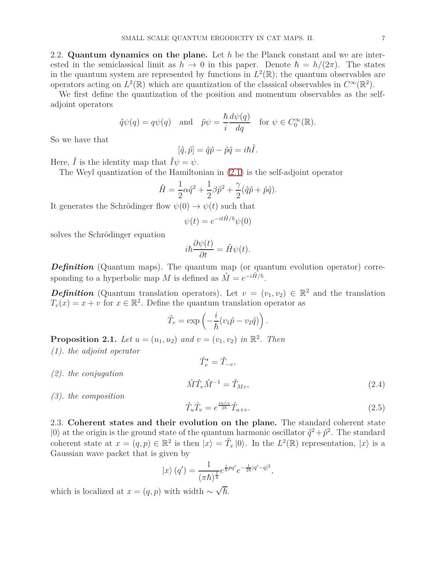2.2. **Quantum dynamics on the plane.** Let *h* be the Planck constant and we are interested in the semiclassical limit as  $h \to 0$  in this paper. Denote  $\hbar = h/(2\pi)$ . The states in the quantum system are represented by functions in  $L^2(\mathbb{R})$ ; the quantum observables are operators acting on  $L^2(\mathbb{R})$  which are quantization of the classical observables in  $C^{\infty}(\mathbb{R}^2)$ .

We first define the quantization of the position and momentum observables as the selfadjoint operators

$$
\hat{q}\psi(q) = q\psi(q)
$$
 and  $\hat{p}\psi = \frac{\hbar}{i}\frac{d\psi(q)}{dq}$  for  $\psi \in C_0^{\infty}(\mathbb{R})$ .

So we have that

$$
[\hat{q}, \hat{p}] = \hat{q}\hat{p} - \hat{p}\hat{q} = i\hbar \hat{I}.
$$

Here,  $\hat{I}$  is the identity map that  $\hat{I}\psi = \psi$ .

The Weyl quantization of the Hamiltonian in [\(2.1\)](#page-4-1) is the self-adjoint operator

$$
\hat{H} = \frac{1}{2}\alpha \hat{q}^2 + \frac{1}{2}\beta \hat{p}^2 + \frac{\gamma}{2}(\hat{q}\hat{p} + \hat{p}\hat{q}).
$$

It generates the Schrödinger flow  $\psi(0) \rightarrow \psi(t)$  such that

$$
\psi(t) = e^{-it\hat{H}/\hbar}\psi(0)
$$

solves the Schrödinger equation

$$
i\hbar \frac{\partial \psi(t)}{\partial t} = \hat{H}\psi(t).
$$

*Definition* (Quantum maps)*.* The quantum map (or quantum evolution operator) corresponding to a hyperbolic map *M* is defined as  $\hat{M} = e^{-i\hat{H}/\hbar}$ .

*Definition* (Quantum translation operators). Let  $v = (v_1, v_2) \in \mathbb{R}^2$  and the translation  $T_v(x) = x + v$  for  $x \in \mathbb{R}^2$ . Define the quantum translation operator as

$$
\hat{T}_v = \exp\left(-\frac{i}{\hbar}(v_1\hat{p} - v_2\hat{q})\right).
$$

 $\hat{T}^{\star}_{v} = \hat{T}_{-v},$ 

**Proposition 2.1.** *Let*  $u = (u_1, u_2)$  *and*  $v = (v_1, v_2)$  *in*  $\mathbb{R}^2$ *. Then* 

- *(1). the adjoint operator*
- *(2). the conjugation*

<span id="page-6-1"></span>
$$
\hat{M}\hat{T}_v\hat{M}^{-1} = \hat{T}_{Mv},\tag{2.4}
$$

*(3). the composition*

<span id="page-6-0"></span>
$$
\hat{T}_u \hat{T}_v = e^{\frac{iu\wedge v}{2\hbar}} \hat{T}_{u+v}.
$$
\n(2.5)

2.3. **Coherent states and their evolution on the plane.** The standard coherent state  $|0\rangle$  at the origin is the ground state of the quantum harmonic oscillator  $\hat{q}^2 + \hat{p}^2$ . The standard coherent state at  $x = (q, p) \in \mathbb{R}^2$  is then  $|x\rangle = \hat{T}_x |0\rangle$ . In the  $L^2(\mathbb{R})$  representation,  $|x\rangle$  is a Gaussian wave packet that is given by

$$
|x\rangle (q') = \frac{1}{(\pi \hbar)^{\frac{1}{4}}} e^{\frac{i}{\hbar}pq'} e^{-\frac{1}{2\hbar}|q'-q|^2},
$$

which is localized at  $x = (q, p)$  with width  $\sim \sqrt{\hbar}$ .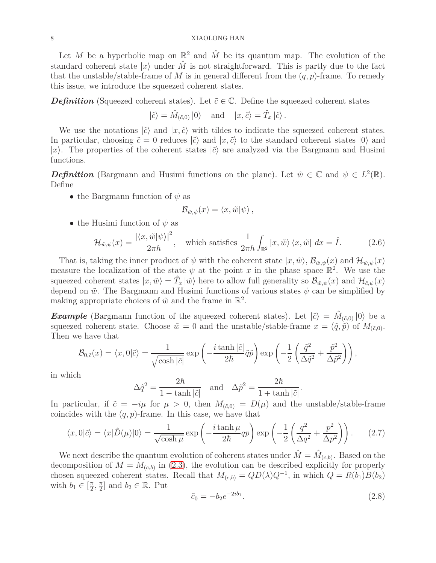Let M be a hyperbolic map on  $\mathbb{R}^2$  and  $\hat{M}$  be its quantum map. The evolution of the standard coherent state  $|x\rangle$  under  $\hat{M}$  is not straightforward. This is partly due to the fact that the unstable/stable-frame of *M* is in general different from the  $(q, p)$ -frame. To remedy this issue, we introduce the squeezed coherent states.

*Definition* (Squeezed coherent states). Let  $\tilde{c} \in \mathbb{C}$ . Define the squeezed coherent states

$$
|\tilde{c}\rangle = \hat{M}_{(\tilde{c},0)} |0\rangle \quad \text{and} \quad |x,\tilde{c}\rangle = \hat{T}_x |\tilde{c}\rangle.
$$

We use the notations  $|\tilde{c}\rangle$  and  $|x,\tilde{c}\rangle$  with tildes to indicate the squeezed coherent states. In particular, choosing  $\tilde{c} = 0$  reduces  $|\tilde{c}\rangle$  and  $|x, \tilde{c}\rangle$  to the standard coherent states  $|0\rangle$  and  $|x\rangle$ . The properties of the coherent states  $|\tilde{c}\rangle$  are analyzed via the Bargmann and Husimi functions.

*Definition* (Bargmann and Husimi functions on the plane). Let  $\tilde{w} \in \mathbb{C}$  and  $\psi \in L^2(\mathbb{R})$ . Define

• the Bargmann function of *ψ* as

$$
\mathcal{B}_{\tilde{w},\psi}(x) = \langle x,\tilde{w}|\psi\rangle,
$$

• the Husimi function of *ψ* as

<span id="page-7-1"></span>
$$
\mathcal{H}_{\tilde{w},\psi}(x) = \frac{|\langle x,\tilde{w}|\psi\rangle|^2}{2\pi\hbar}, \quad \text{which satisfies } \frac{1}{2\pi\hbar} \int_{\mathbb{R}^2} |x,\tilde{w}\rangle \langle x,\tilde{w}| \, dx = \hat{I}. \tag{2.6}
$$

That is, taking the inner product of  $\psi$  with the coherent state  $|x, \tilde{w}\rangle$ ,  $\mathcal{B}_{\tilde{w},\psi}(x)$  and  $\mathcal{H}_{\tilde{w},\psi}(x)$ measure the localization of the state  $\psi$  at the point *x* in the phase space  $\mathbb{R}^2$ . We use the squeezed coherent states  $|x, \tilde{w}\rangle = \hat{T}_x |\tilde{w}\rangle$  here to allow full generality so  $\mathcal{B}_{\tilde{w}, \psi}(x)$  and  $\mathcal{H}_{\tilde{c}, \psi}(x)$ depend on  $\tilde{w}$ . The Bargmann and Husimi functions of various states  $\psi$  can be simplified by making appropriate choices of  $\tilde{w}$  and the frame in  $\mathbb{R}^2$ .

*Example* (Bargmann function of the squeezed coherent states). Let  $|\tilde{c}\rangle = \hat{M}_{(\tilde{c},0)} |0\rangle$  be a squeezed coherent state. Choose  $\tilde{w} = 0$  and the unstable/stable-frame  $x = (\tilde{q}, \tilde{p})$  of  $M_{(\tilde{c},0)}$ . Then we have that

$$
\mathcal{B}_{0,\tilde{c}}(x) = \langle x,0|\tilde{c}\rangle = \frac{1}{\sqrt{\cosh|\tilde{c}|}} \exp\left(-\frac{i\tanh|\tilde{c}|}{2\hbar}\tilde{q}\tilde{p}\right) \exp\left(-\frac{1}{2}\left(\frac{\tilde{q}^2}{\Delta\tilde{q}^2} + \frac{\tilde{p}^2}{\Delta\tilde{p}^2}\right)\right),
$$

in which

$$
\Delta \tilde{q}^2 = \frac{2\hbar}{1 - \tanh|\tilde{c}|} \quad \text{and} \quad \Delta \tilde{p}^2 = \frac{2\hbar}{1 + \tanh|\tilde{c}|}
$$

In particular, if  $\tilde{c} = -i\mu$  for  $\mu > 0$ , then  $M_{(\tilde{c},0)} = D(\mu)$  and the unstable/stable-frame coincides with the  $(q, p)$ -frame. In this case, we have that

<span id="page-7-0"></span>
$$
\langle x, 0 | \tilde{c} \rangle = \langle x | \hat{D}(\mu) | 0 \rangle = \frac{1}{\sqrt{\cosh \mu}} \exp\left(-\frac{i \tanh \mu}{2\hbar} qp\right) \exp\left(-\frac{1}{2} \left(\frac{q^2}{\Delta q^2} + \frac{p^2}{\Delta p^2}\right)\right). \tag{2.7}
$$

We next describe the quantum evolution of coherent states under  $\hat{M} = \hat{M}_{(c,b)}$ . Based on the decomposition of  $M = M_{(c,b)}$  in [\(2.3\)](#page-5-0), the evolution can be described explicitly for properly chosen squeezed coherent states. Recall that  $M_{(c,b)} = QD(\lambda)Q^{-1}$ , in which  $Q = R(b_1)B(b_2)$ with  $b_1 \in \left[\frac{\pi}{2}\right]$  $\frac{\pi}{2}$ ,  $\frac{\pi}{2}$  $\frac{\pi}{2}$  and  $b_2 \in \mathbb{R}$ . Put

<span id="page-7-2"></span>
$$
\tilde{c}_0 = -b_2 e^{-2ib_1}.\tag{2.8}
$$

*.*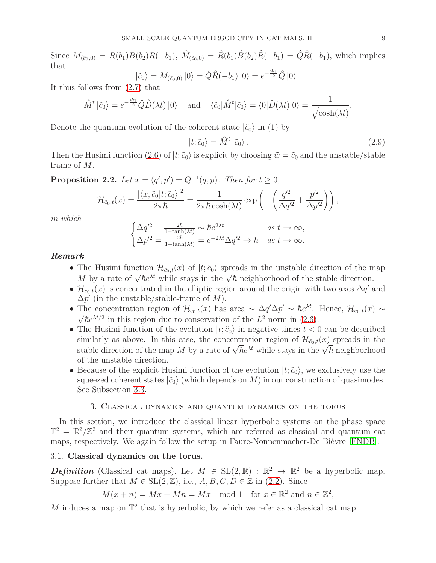Since  $M_{(\tilde{c}_0,0)} = R(b_1)B(b_2)R(-b_1)$ ,  $\hat{M}_{(\tilde{c}_0,0)} = \hat{R}(b_1)\hat{B}(b_2)\hat{R}(-b_1) = \hat{Q}\hat{R}(-b_1)$ , which implies that *ib*1

$$
|\tilde{c}_0\rangle = M_{(\tilde{c}_0,0)} |0\rangle = \hat{Q}\hat{R}(-b_1) |0\rangle = e^{-\frac{i b_1}{2}} \hat{Q} |0\rangle.
$$

It thus follows from [\(2.7\)](#page-7-0) that

$$
\hat{M}^t \left| \tilde{c}_0 \right\rangle = e^{-\frac{i b_1}{2}} \hat{Q} \hat{D}(\lambda t) \left| 0 \right\rangle \quad \text{and} \quad \langle \tilde{c}_0 | \hat{M}^t \left| \tilde{c}_0 \right\rangle = \langle 0 | \hat{D}(\lambda t) | 0 \rangle = \frac{1}{\sqrt{\cosh(\lambda t)}}.
$$

Denote the quantum evolution of the coherent state  $|\tilde{c}_0\rangle$  in (1) by

<span id="page-8-1"></span>
$$
|t; \tilde{c}_0\rangle = \hat{M}^t | \tilde{c}_0\rangle. \tag{2.9}
$$

Then the Husimi function [\(2.6\)](#page-7-1) of  $|t; \tilde{c}_0\rangle$  is explicit by choosing  $\tilde{w} = \tilde{c}_0$  and the unstable/stable frame of *M*.

<span id="page-8-2"></span>**Proposition 2.2.** *Let*  $x = (q', p') = Q^{-1}(q, p)$ *. Then for*  $t \ge 0$ *,* 

$$
\mathcal{H}_{\tilde{c}_0,t}(x) = \frac{|\langle x,\tilde{c}_0|t;\tilde{c}_0\rangle|^2}{2\pi\hbar} = \frac{1}{2\pi\hbar\cosh(\lambda t)}\exp\left(-\left(\frac{q'^2}{\Delta q'^2} + \frac{p'^2}{\Delta p'^2}\right)\right),
$$

*in which*

$$
\begin{cases}\n\Delta q'^2 = \frac{2\hbar}{1 - \tanh(\lambda t)} \sim \hbar e^{2\lambda t} & as \ t \to \infty, \\
\Delta p'^2 = \frac{2\hbar}{1 + \tanh(\lambda t)} = e^{-2\lambda t} \Delta q'^2 \to \hbar & as \ t \to \infty.\n\end{cases}
$$

# *Remark.*

- The Husimi function  $\mathcal{H}_{\tilde{c}_0,t}(x)$  of  $|t;\tilde{c}_0\rangle$  spreads in the unstable direction of the map *M* by a rate of  $\sqrt{\hbar}e^{\lambda t}$  while stays in the  $\sqrt{\hbar}$  neighborhood of the stable direction.
- $\mathcal{H}_{\tilde{c}_0,t}(x)$  is concentrated in the elliptic region around the origin with two axes  $\Delta q'$  and ∆*p* ′ (in the unstable/stable-frame of *M*).
- The concentration region of  $\mathcal{H}_{\tilde{c}_0,t}(x)$  has area  $\sim \Delta q' \Delta p' \sim \hbar e^{\lambda t}$ . Hence,  $\mathcal{H}_{\tilde{c}_0,t}(x) \sim \sqrt{\hbar} e^{\lambda t/2}$  in this region due to conservation of the  $L^2$  perm in (2.6)  $\bar{\hbar}e^{\lambda t/2}$  in this region due to conservation of the  $L^2$  norm in [\(2.6\)](#page-7-1).
- The Husimi function of the evolution  $|t; \tilde{c}_0\rangle$  in negative times  $t < 0$  can be described similarly as above. In this case, the concentration region of  $\mathcal{H}_{\tilde{c}_0,t}(x)$  spreads in the stable direction of the map *M* by a rate of  $\sqrt{\hbar}e^{\lambda t}$  while stays in the  $\sqrt{\hbar}$  neighborhood of the unstable direction.
- Because of the explicit Husimi function of the evolution  $|t; \tilde{c}_0\rangle$ , we exclusively use the squeezed coherent states  $|\tilde{c}_0\rangle$  (which depends on *M*) in our construction of quasimodes. See Subsection [3.3.](#page-12-0)

# 3. Classical dynamics and quantum dynamics on the torus

<span id="page-8-0"></span>In this section, we introduce the classical linear hyperbolic systems on the phase space  $\mathbb{T}^2 = \mathbb{R}^2/\mathbb{Z}^2$  and their quantum systems, which are referred as classical and quantum cat maps, respectively. We again follow the setup in Faure-Nonnenmacher-De Bièvre [\[FNDB\]](#page-21-4).

# 3.1. **Classical dynamics on the torus.**

*Definition* (Classical cat maps). Let  $M \in SL(2, \mathbb{R}) : \mathbb{R}^2 \to \mathbb{R}^2$  be a hyperbolic map. Suppose further that  $M \in SL(2, \mathbb{Z})$ , i.e.,  $A, B, C, D \in \mathbb{Z}$  in [\(2.2\)](#page-4-2). Since

$$
M(x+n) = Mx + Mn = Mx \mod 1 \text{ for } x \in \mathbb{R}^2 \text{ and } n \in \mathbb{Z}^2,
$$

M induces a map on  $\mathbb{T}^2$  that is hyperbolic, by which we refer as a classical cat map.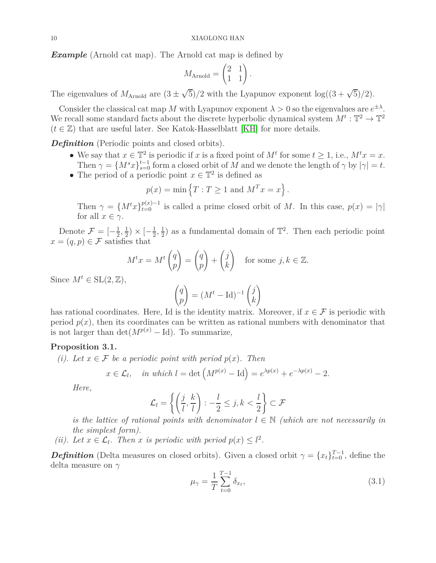*Example* (Arnold cat map)*.* The Arnold cat map is defined by

$$
M_{\text{Arnold}} = \begin{pmatrix} 2 & 1 \\ 1 & 1 \end{pmatrix}.
$$

The eigenvalues of  $M_{\text{Arnold}}$  are  $(3 \pm \sqrt{5})/2$  with the Lyapunov exponent  $\log((3+\sqrt{5})/2)$ .

Consider the classical cat map M with Lyapunov exponent  $\lambda > 0$  so the eigenvalues are  $e^{\pm \lambda}$ . We recall some standard facts about the discrete hyperbolic dynamical system  $M^t : \mathbb{T}^2 \to \mathbb{T}^2$  $(t \in \mathbb{Z})$  that are useful later. See Katok-Hasselblatt [\[KH\]](#page-21-8) for more details.

*Definition* (Periodic points and closed orbits)*.*

- We say that  $x \in \mathbb{T}^2$  is periodic if *x* is a fixed point of  $M^t$  for some  $t \geq 1$ , i.e.,  $M^t x = x$ . Then  $\gamma = \{M^s x\}_{s=0}^{t-1}$  form a closed orbit of *M* and we denote the length of  $\gamma$  by  $|\gamma| = t$ .
- The period of a periodic point  $x \in \mathbb{T}^2$  is defined as

$$
p(x) = \min\left\{T : T \ge 1 \text{ and } M^T x = x\right\}.
$$

Then  $\gamma = \{M^t x\}_{t=0}^{p(x)-1}$  is called a prime closed orbit of *M*. In this case,  $p(x) = |\gamma|$ for all  $x \in \gamma$ .

Denote  $\mathcal{F} = \left[-\frac{1}{2}\right]$  $\frac{1}{2}, \frac{1}{2}$  $(\frac{1}{2}) \times [-\frac{1}{2}]$  $\frac{1}{2}, \frac{1}{2}$  $\frac{1}{2}$ ) as a fundamental domain of  $\mathbb{T}^2$ . Then each periodic point  $x = (q, p) \in \mathcal{F}$  satisfies that

$$
M^t x = M^t \begin{pmatrix} q \\ p \end{pmatrix} = \begin{pmatrix} q \\ p \end{pmatrix} + \begin{pmatrix} j \\ k \end{pmatrix} \text{ for some } j, k \in \mathbb{Z}.
$$

Since  $M^t \in SL(2, \mathbb{Z})$ ,

$$
\begin{pmatrix} q \\ p \end{pmatrix} = (M^t - \text{Id})^{-1} \begin{pmatrix} j \\ k \end{pmatrix}
$$

has rational coordinates. Here, Id is the identity matrix. Moreover, if  $x \in \mathcal{F}$  is periodic with period  $p(x)$ , then its coordinates can be written as rational numbers with denominator that is not larger than  $\det(M^{p(x)} - \mathrm{Id})$ . To summarize,

# <span id="page-9-1"></span>**Proposition 3.1.**

*(i). Let*  $x \in \mathcal{F}$  *be a periodic point with period*  $p(x)$ *. Then* 

$$
x \in \mathcal{L}_l, \quad \text{in which } l = \det \left( M^{p(x)} - \text{Id} \right) = e^{\lambda p(x)} + e^{-\lambda p(x)} - 2.
$$

*Here,*

$$
\mathcal{L}_l = \left\{ \left( \frac{j}{l}, \frac{k}{l} \right) : -\frac{l}{2} \le j, k < \frac{l}{2} \right\} \subset \mathcal{F}
$$

*is the lattice of rational points with denominator*  $l \in \mathbb{N}$  *(which are not necessarily in the simplest form).*

*(ii).* Let  $x \in \mathcal{L}_l$ . Then  $x$  *is periodic with period*  $p(x) \leq l^2$ .

*Definition* (Delta measures on closed orbits). Given a closed orbit  $\gamma = \{x_t\}_{t=0}^{T-1}$ , define the delta measure on *γ*

<span id="page-9-0"></span>
$$
\mu_{\gamma} = \frac{1}{T} \sum_{t=0}^{T-1} \delta_{x_t},\tag{3.1}
$$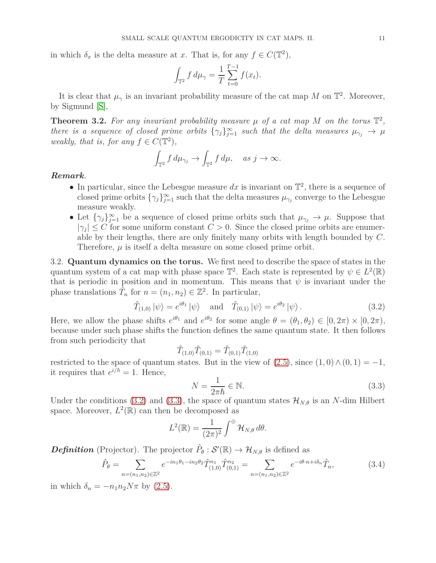in which  $\delta_x$  is the delta measure at *x*. That is, for any  $f \in C(\mathbb{T}^2)$ ,

$$
\int_{\mathbb{T}^2} f \, d\mu_{\gamma} = \frac{1}{T} \sum_{t=0}^{T-1} f(x_t).
$$

It is clear that  $\mu_{\gamma}$  is an invariant probability measure of the cat map M on  $\mathbb{T}^2$ . Moreover, by Sigmund [\[S\]](#page-21-5),

<span id="page-10-4"></span>**Theorem 3.2.** For any invariant probability measure  $\mu$  of a cat map M on the torus  $\mathbb{T}^2$ , *there is a sequence of closed prime orbits*  $\{\gamma_j\}_{j=1}^{\infty}$  *such that the delta measures*  $\mu_{\gamma_j} \to \mu$ *weakly, that is, for any*  $f \in C(\mathbb{T}^2)$ ,

$$
\int_{\mathbb{T}^2} f d\mu_{\gamma_j} \to \int_{\mathbb{T}^2} f d\mu, \quad \text{as } j \to \infty.
$$

# *Remark.*

- In particular, since the Lebesgue measure  $dx$  is invariant on  $\mathbb{T}^2$ , there is a sequence of closed prime orbits  $\{\gamma_j\}_{j=1}^{\infty}$  such that the delta measures  $\mu_{\gamma_j}$  converge to the Lebesgue measure weakly.
- Let  $\{\gamma_j\}_{j=1}^{\infty}$  be a sequence of closed prime orbits such that  $\mu_{\gamma_j} \to \mu$ . Suppose that  $|\gamma_j| \leq C$  for some uniform constant  $C > 0$ . Since the closed prime orbits are enumerable by their lengths, there are only finitely many orbits with length bounded by *C*. Therefore,  $\mu$  is itself a delta measure on some closed prime orbit.

<span id="page-10-0"></span>3.2. **Quantum dynamics on the torus.** We first need to describe the space of states in the quantum system of a cat map with phase space  $\mathbb{T}^2$ . Each state is represented by  $\psi \in L^2(\mathbb{R})$ that is periodic in position and in momentum. This means that  $\psi$  is invariant under the phase translations  $\hat{T}_n$  for  $n = (n_1, n_2) \in \mathbb{Z}^2$ . In particular,

<span id="page-10-1"></span>
$$
\hat{T}_{(1,0)}\left|\psi\right\rangle = e^{i\theta_1}\left|\psi\right\rangle \quad \text{and} \quad \hat{T}_{(0,1)}\left|\psi\right\rangle = e^{i\theta_2}\left|\psi\right\rangle. \tag{3.2}
$$

Here, we allow the phase shifts  $e^{i\theta_1}$  and  $e^{i\theta_2}$  for some angle  $\theta = (\theta_1, \theta_2) \in [0, 2\pi) \times [0, 2\pi)$ , because under such phase shifts the function defines the same quantum state. It then follows from such periodicity that

$$
\hat{T}_{(1,0)}\hat{T}_{(0,1)} = \hat{T}_{(0,1)}\hat{T}_{(1,0)}
$$

restricted to the space of quantum states. But in the view of  $(2.5)$ , since  $(1,0) \wedge (0,1) = -1$ , it requires that  $e^{i/\hbar} = 1$ . Hence,

<span id="page-10-2"></span>
$$
N = \frac{1}{2\pi\hbar} \in \mathbb{N}.\tag{3.3}
$$

Under the conditions [\(3.2\)](#page-10-1) and [\(3.3\)](#page-10-2), the space of quantum states  $\mathcal{H}_{N,\theta}$  is an *N*-dim Hilbert space. Moreover,  $L^2(\mathbb{R})$  can then be decomposed as

$$
L^{2}(\mathbb{R}) = \frac{1}{(2\pi)^{2}} \int^{\oplus} \mathcal{H}_{N,\theta} d\theta.
$$

*Definition* (Projector). The projector  $\hat{P}_{\theta}: \mathcal{S}'(\mathbb{R}) \to \mathcal{H}_{N,\theta}$  is defined as

<span id="page-10-3"></span>
$$
\hat{P}_{\theta} = \sum_{n=(n_1,n_2)\in\mathbb{Z}^2} e^{-in_1\theta_1-in_2\theta_2} \hat{T}_{(1,0)}^{n_1} \hat{T}_{(0,1)}^{n_2} = \sum_{n=(n_1,n_2)\in\mathbb{Z}^2} e^{-i\theta \cdot n + i\delta_n} \hat{T}_n,\tag{3.4}
$$

in which  $\delta_n = -n_1 n_2 N \pi$  by [\(2.5\)](#page-6-0).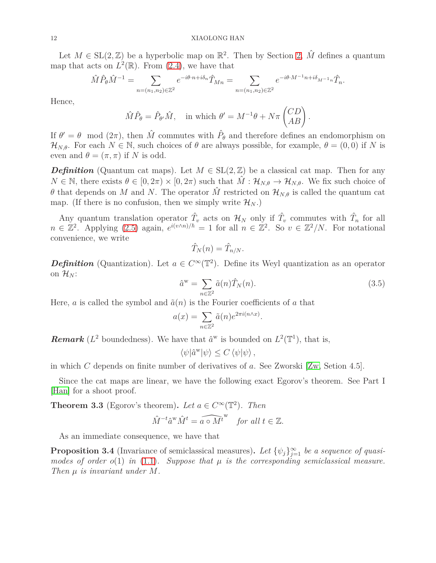Let  $M \in SL(2, \mathbb{Z})$  be a hyperbolic map on  $\mathbb{R}^2$ . Then by Section [2,](#page-4-0)  $\hat{M}$  defines a quantum map that acts on  $L^2(\mathbb{R})$ . From [\(2.4\)](#page-6-1), we have that

$$
\hat{M}\hat{P}_{\theta}\hat{M}^{-1}=\sum_{n=(n_1,n_2)\in\mathbb{Z}^2}e^{-i\theta\cdot n+i\delta_n}\hat{T}_{Mn}=\sum_{n=(n_1,n_2)\in\mathbb{Z}^2}e^{-i\theta\cdot M^{-1}n+i\delta_{M^{-1}n}}\hat{T}_n.
$$

Hence,

$$
\hat{M}\hat{P}_{\theta} = \hat{P}_{\theta'}\hat{M}, \text{ in which } \theta' = M^{-1}\theta + N\pi \begin{pmatrix} CD \\ AB \end{pmatrix}.
$$

If  $\theta' = \theta \mod(2\pi)$ , then  $\hat{M}$  commutes with  $\hat{P}_{\theta}$  and therefore defines an endomorphism on  $\mathcal{H}_{N,\theta}$ . For each  $N \in \mathbb{N}$ , such choices of  $\theta$  are always possible, for example,  $\theta = (0,0)$  if N is even and  $\theta = (\pi, \pi)$  if *N* is odd.

*Definition* (Quantum cat maps). Let  $M \in SL(2, \mathbb{Z})$  be a classical cat map. Then for any  $N \in \mathbb{N}$ , there exists  $\theta \in [0, 2\pi) \times [0, 2\pi)$  such that  $\hat{M}: \mathcal{H}_{N,\theta} \to \mathcal{H}_{N,\theta}$ . We fix such choice of *θ* that depends on *M* and *N*. The operator  $\hat{M}$  restricted on  $\mathcal{H}_{N,\theta}$  is called the quantum cat map. (If there is no confusion, then we simply write  $\mathcal{H}_N$ .)

Any quantum translation operator  $\hat{T}_v$  acts on  $\mathcal{H}_N$  only if  $\hat{T}_v$  commutes with  $\hat{T}_n$  for all  $n \in \mathbb{Z}^2$ . Applying [\(2.5\)](#page-6-0) again,  $e^{i(v \wedge n)/\hbar} = 1$  for all  $n \in \mathbb{Z}^2$ . So  $v \in \mathbb{Z}^2/N$ . For notational convenience, we write

$$
\hat{T}_N(n) = \hat{T}_{n/N}.
$$

*Definition* (Quantization). Let  $a \in C^{\infty}(\mathbb{T}^2)$ . Define its Weyl quantization as an operator on  $\mathcal{H}_N$ :

<span id="page-11-0"></span>
$$
\hat{a}^{\mathbf{w}} = \sum_{n \in \mathbb{Z}^2} \tilde{a}(n)\hat{T}_N(n). \tag{3.5}
$$

Here, *a* is called the symbol and  $\tilde{a}(n)$  is the Fourier coefficients of *a* that

$$
a(x) = \sum_{n \in \mathbb{Z}^2} \tilde{a}(n) e^{2\pi i (n \wedge x)}.
$$

**Remark** ( $L^2$  boundedness). We have that  $\hat{a}^w$  is bounded on  $L^2(\mathbb{T}^1)$ , that is,

 $\langle \psi | \hat{a}^{\text{w}} | \psi \rangle \leq C \langle \psi | \psi \rangle$ ,

in which *C* depends on finite number of derivatives of *a*. See Zworski [\[Zw,](#page-21-2) Setion 4.5].

Since the cat maps are linear, we have the following exact Egorov's theorem. See Part I [\[Han\]](#page-21-0) for a shoot proof.

<span id="page-11-1"></span>**Theorem 3.3** (Egorov's theorem). Let  $a \in C^{\infty}(\mathbb{T}^2)$ . Then  $\hat{M}^{-t}\hat{a}^{\text{w}}\hat{M}^{t} = \widehat{a \circ M^{t}}^{\text{w}}$  *for all*  $t \in \mathbb{Z}$ *.* 

As an immediate consequence, we have that

**Proposition 3.4** (Invariance of semiclassical measures). Let  $\{\psi_j\}_{j=1}^{\infty}$  be a sequence of quasi*modes of order o*(1) *in* [\(1.1\)](#page-1-1)*. Suppose that µ is the corresponding semiclassical measure. Then µ is invariant under M.*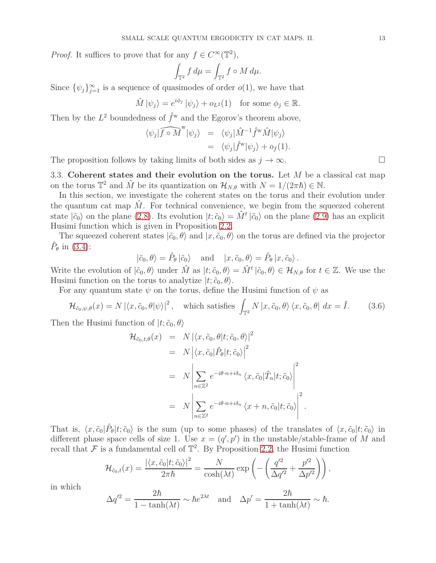*Proof.* It suffices to prove that for any  $f \in C^{\infty}(\mathbb{T}^2)$ ,

$$
\int_{\mathbb{T}^2} f \, d\mu = \int_{\mathbb{T}^2} f \circ M \, d\mu.
$$

Since  $\{\psi_j\}_{j=1}^{\infty}$  is a sequence of quasimodes of order *o*(1), we have that

$$
\hat{M}|\psi_j\rangle = e^{i\phi_j}|\psi_j\rangle + o_{L^2}(1) \text{ for some } \phi_j \in \mathbb{R}.
$$

Then by the  $L^2$  boundedness of  $\hat{f}^{\rm w}$  and the Egorov's theorem above,

$$
\langle \psi_j | \widehat{f \circ M}^{\mathbf{w}} | \psi_j \rangle = \langle \psi_j | \hat{M}^{-1} \hat{f}^{\mathbf{w}} \hat{M} | \psi_j \rangle
$$
  
= 
$$
\langle \psi_j | \hat{f}^{\mathbf{w}} | \psi_j \rangle + o_f(1).
$$

<span id="page-12-0"></span>The proposition follows by taking limits of both sides as  $j \to \infty$ .

3.3. **Coherent states and their evolution on the torus.** Let *M* be a classical cat map on the torus  $\mathbb{T}^2$  and  $\hat{M}$  be its quantization on  $\mathcal{H}_{N,\theta}$  with  $N = 1/(2\pi\hbar) \in \mathbb{N}$ .

In this section, we investigate the coherent states on the torus and their evolution under the quantum cat map  $\hat{M}$ . For technical convenience, we begin from the squeezed coherent state  $|\tilde{c}_0\rangle$  on the plane [\(2.8\)](#page-7-2). Its evolution  $|t;\tilde{c}_0\rangle = \hat{M}^t |\tilde{c}_0\rangle$  on the plane [\(2.9\)](#page-8-1) has an explicit Husimi function which is given in Proposition [2.2.](#page-8-2)

The squeezed coherent states  $|\tilde{c}_0, \theta \rangle$  and  $|x, \tilde{c}_0, \theta \rangle$  on the torus are defined via the projector  $\hat{P}_{\theta}$  in [\(3.4\)](#page-10-3):

$$
|\tilde{c}_0, \theta\rangle = \hat{P}_{\theta} |\tilde{c}_0\rangle
$$
 and  $|x, \tilde{c}_0, \theta\rangle = \hat{P}_{\theta} |x, \tilde{c}_0\rangle$ .

Write the evolution of  $|\tilde{c}_0, \theta\rangle$  under  $\hat{M}$  as  $|t; \tilde{c}_0, \theta\rangle = \hat{M}^t | \tilde{c}_0, \theta\rangle \in \mathcal{H}_{N,\theta}$  for  $t \in \mathbb{Z}$ . We use the Husimi function on the torus to analytize  $|t; \tilde{c}_0, \theta\rangle$ .

For any quantum state  $\psi$  on the torus, define the Husimi function of  $\psi$  as

<span id="page-12-1"></span>
$$
\mathcal{H}_{\tilde{c}_0,\psi,\theta}(x) = N \left| \langle x,\tilde{c}_0,\theta | \psi \rangle \right|^2, \quad \text{which satisfies } \int_{\mathbb{T}^2} N \left| x,\tilde{c}_0,\theta \rangle \langle x,\tilde{c}_0,\theta \right| dx = \hat{I}. \tag{3.6}
$$

Then the Husimi function of  $|t; \tilde{c}_0, \theta\rangle$ 

$$
\mathcal{H}_{\tilde{c}_0, t, \theta}(x) = N | \langle x, \tilde{c}_0, \theta | t; \tilde{c}_0, \theta \rangle |^2
$$
  
\n
$$
= N | \langle x, \tilde{c}_0 | \hat{P}_{\theta} | t; \tilde{c}_0 \rangle |^2
$$
  
\n
$$
= N \left| \sum_{n \in \mathbb{Z}^2} e^{-i\theta \cdot n + i\delta_n} \langle x, \tilde{c}_0 | \hat{T}_n | t; \tilde{c}_0 \rangle \right|^2
$$
  
\n
$$
= N \left| \sum_{n \in \mathbb{Z}^2} e^{-i\theta \cdot n + i\delta_n} \langle x + n, \tilde{c}_0 | t; \tilde{c}_0 \rangle \right|^2.
$$

That is,  $\langle x, \tilde{c}_0 | \hat{P}_{\theta} | t; \tilde{c}_0 \rangle$  is the sum (up to some phases) of the translates of  $\langle x, \tilde{c}_0 | t; \tilde{c}_0 \rangle$  in different phase space cells of size 1. Use  $x = (q', p')$  in the unstable/stable-frame of *M* and recall that  $\mathcal F$  is a fundamental cell of  $\mathbb T^2$ . By Proposition [2.2,](#page-8-2) the Husimi function

$$
\mathcal{H}_{\tilde{c}_0,t}(x) = \frac{|\langle x,\tilde{c}_0|t;\tilde{c}_0\rangle|^2}{2\pi\hbar} = \frac{N}{\cosh(\lambda t)} \exp\left(-\left(\frac{q'^2}{\Delta q'^2} + \frac{p'^2}{\Delta p'^2}\right)\right),
$$

in which

$$
\Delta q^2 = \frac{2\hbar}{1 - \tanh(\lambda t)} \sim \hbar e^{2\lambda t} \quad \text{and} \quad \Delta p' = \frac{2\hbar}{1 + \tanh(\lambda t)} \sim \hbar.
$$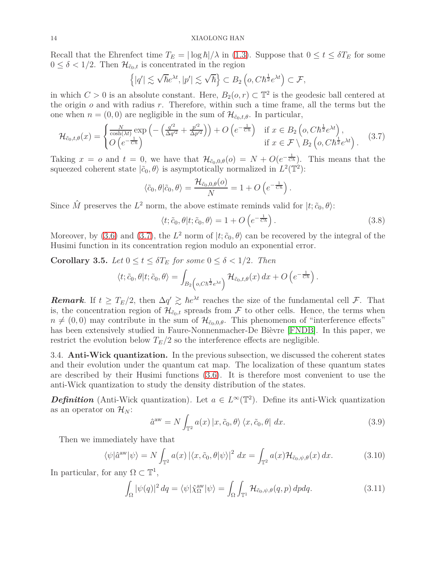Recall that the Ehrenfect time  $T_E = |\log \hbar| / \lambda$  in [\(1.3\)](#page-3-0). Suppose that  $0 \le t \le \delta T_E$  for some  $0 \leq \delta < 1/2$ . Then  $\mathcal{H}_{\tilde{c}_0,t}$  is concentrated in the region

$$
\left\{|q'|\lesssim \sqrt{\hbar}e^{\lambda t},|p'|\lesssim \sqrt{\hbar}\right\}\subset B_2\left(o,C\hbar^{\frac{1}{2}}e^{\lambda t}\right)\subset\mathcal{F},
$$

in which  $C > 0$  is an absolute constant. Here,  $B_2(o, r) \subset \mathbb{T}^2$  is the geodesic ball centered at the origin *o* and with radius *r*. Therefore, within such a time frame, all the terms but the one when  $n = (0, 0)$  are negligible in the sum of  $\mathcal{H}_{\tilde{c}_0, t, \theta}$ . In particular,

<span id="page-13-1"></span>
$$
\mathcal{H}_{\tilde{c}_0,t,\theta}(x) = \begin{cases} \frac{N}{\cosh(\lambda t)} \exp\left(-\left(\frac{q'^2}{\Delta q'^2} + \frac{p'^2}{\Delta p'^2}\right)\right) + O\left(e^{-\frac{1}{C\hbar}}\right) & \text{if } x \in B_2\left(o, C\hbar^{\frac{1}{2}}e^{\lambda t}\right),\\ O\left(e^{-\frac{1}{C\hbar}}\right) & \text{if } x \in \mathcal{F} \setminus B_2\left(o, C\hbar^{\frac{1}{2}}e^{\lambda t}\right). \end{cases} (3.7)
$$

Taking  $x = o$  and  $t = 0$ , we have that  $\mathcal{H}_{\tilde{c}_0,0,\theta}(o) = N + O(e^{-\frac{1}{Ch}})$ . This means that the squeezed coherent state  $|\tilde{c}_0, \theta\rangle$  is asymptotically normalized in  $L^2(\mathbb{T}^2)$ :

$$
\langle \tilde{c}_0, \theta | \tilde{c}_0, \theta \rangle = \frac{\mathcal{H}_{\tilde{c}_0,0,\theta}(o)}{N} = 1 + O\left(e^{-\frac{1}{Ch}}\right).
$$

Since  $\hat{M}$  preserves the  $L^2$  norm, the above estimate reminds valid for  $|t; \tilde{c}_0, \theta\rangle$ :

<span id="page-13-5"></span>
$$
\langle t; \tilde{c}_0, \theta | t; \tilde{c}_0, \theta \rangle = 1 + O\left(e^{-\frac{1}{Ch}}\right). \tag{3.8}
$$

Moreover, by [\(3.6\)](#page-12-1) and [\(3.7\)](#page-13-1), the  $L^2$  norm of  $|t, \tilde{c}_0, \theta \rangle$  can be recovered by the integral of the Husimi function in its concentration region modulo an exponential error.

<span id="page-13-6"></span>**Corollary 3.5.** *Let*  $0 \le t \le \delta T_E$  *for some*  $0 \le \delta < 1/2$ *. Then* 

$$
\langle t, \tilde{c}_0, \theta | t, \tilde{c}_0, \theta \rangle = \int_{B_2 \left( o, C \hbar^{\frac{1}{2}} e^{\lambda t} \right)} \mathcal{H}_{\tilde{c}_0, t, \theta}(x) dx + O \left( e^{-\frac{1}{C \hbar}} \right).
$$

*Remark.* If  $t \geq T_E/2$ , then  $\Delta q' \geq \hbar e^{\lambda t}$  reaches the size of the fundamental cell F. That is, the concentration region of  $\mathcal{H}_{\tilde{c}_0,t}$  spreads from F to other cells. Hence, the terms when  $n \neq (0,0)$  may contribute in the sum of  $\mathcal{H}_{\tilde{c}_0,0,\theta}$ . This phenomenon of "interference effects" has been extensively studied in Faure-Nonnenmacher-De Bièvre [\[FNDB\]](#page-21-4). In this paper, we restrict the evolution below  $T_E/2$  so the interference effects are negligible.

<span id="page-13-0"></span>3.4. **Anti-Wick quantization.** In the previous subsection, we discussed the coherent states and their evolution under the quantum cat map. The localization of these quantum states are described by their Husimi functions [\(3.6\)](#page-12-1). It is therefore most convenient to use the anti-Wick quantization to study the density distribution of the states.

*Definition* (Anti-Wick quantization). Let  $a \in L^{\infty}(\mathbb{T}^2)$ . Define its anti-Wick quantization as an operator on  $\mathcal{H}_N$ :

<span id="page-13-2"></span>
$$
\hat{a}^{\text{aw}} = N \int_{\mathbb{T}^2} a(x) \left| x, \tilde{c}_0, \theta \right\rangle \langle x, \tilde{c}_0, \theta \vert \, dx. \tag{3.9}
$$

Then we immediately have that

<span id="page-13-4"></span>
$$
\langle \psi | \hat{a}^{\rm aw} | \psi \rangle = N \int_{\mathbb{T}^2} a(x) \left| \langle x, \tilde{c}_0, \theta | \psi \rangle \right|^2 dx = \int_{\mathbb{T}^2} a(x) \mathcal{H}_{\tilde{c}_0, \psi, \theta}(x) dx. \tag{3.10}
$$

In particular, for any  $\Omega \subset \mathbb{T}^1$ ,

<span id="page-13-3"></span>
$$
\int_{\Omega} |\psi(q)|^2 dq = \langle \psi | \hat{\chi}_{\Omega}^{\text{aw}} | \psi \rangle = \int_{\Omega} \int_{\mathbb{T}^1} \mathcal{H}_{\tilde{c}_0, \psi, \theta}(q, p) dp dq. \tag{3.11}
$$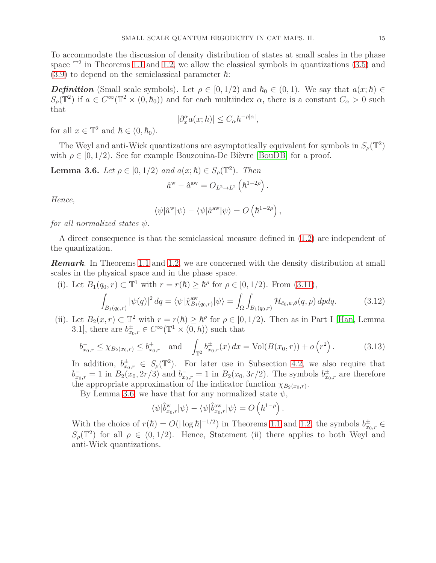To accommodate the discussion of density distribution of states at small scales in the phase space  $\mathbb{T}^2$  in Theorems [1.1](#page-1-0) and [1.2,](#page-2-0) we allow the classical symbols in quantizations  $(3.5)$  and  $(3.9)$  to depend on the semiclassical parameter  $\hbar$ :

*Definition* (Small scale symbols). Let  $\rho \in [0, 1/2)$  and  $\hbar_0 \in (0, 1)$ . We say that  $a(x; \hbar) \in$  $S_\rho(\mathbb{T}^2)$  if  $a \in C^\infty(\mathbb{T}^2 \times (0, h_0))$  and for each multiindex  $\alpha$ , there is a constant  $C_\alpha > 0$  such that

$$
|\partial_x^{\alpha} a(x;\hbar)| \le C_{\alpha} \hbar^{-\rho|\alpha|},
$$

for all  $x \in \mathbb{T}^2$  and  $\hbar \in (0, \hbar_0)$ .

The Weyl and anti-Wick quantizations are asymptotically equivalent for symbols in  $S_\rho(\mathbb{T}^2)$ with  $\rho \in [0, 1/2)$ . See for example Bouzouina-De Bièvre [\[BouDB\]](#page-20-0) for a proof.

<span id="page-14-0"></span>**Lemma 3.6.** *Let*  $\rho \in [0, 1/2)$  *and*  $a(x; \hbar) \in S_{\rho}(\mathbb{T}^2)$ *. Then* 

$$
\hat{a}^{\rm w}-\hat{a}^{\rm aw}=O_{L^2\rightarrow L^2}\left(\hbar^{1-2\rho}\right).
$$

*Hence,*

$$
\langle \psi | \hat{a}^{\mathrm{w}} | \psi \rangle - \langle \psi | \hat{a}^{\mathrm{aw}} | \psi \rangle = O\left(\hbar^{1-2\rho}\right),
$$

*for all normalized states ψ.*

A direct consequence is that the semiclassical measure defined in [\(1.2\)](#page-2-1) are independent of the quantization.

*Remark.* In Theorems [1.1](#page-1-0) and [1.2,](#page-2-0) we are concerned with the density distribution at small scales in the physical space and in the phase space.

(i). Let  $B_1(q_0, r) \subset \mathbb{T}^1$  with  $r = r(h) \geq h^{\rho}$  for  $\rho \in [0, 1/2)$ . From [\(3.11\)](#page-13-3),

<span id="page-14-2"></span>
$$
\int_{B_1(q_0,r)} |\psi(q)|^2 dq = \langle \psi | \hat{\chi}_{B_1(q_0,r)}^{\text{aw}} | \psi \rangle = \int_{\Omega} \int_{B_1(q_0,r)} \mathcal{H}_{\tilde{c}_0,\psi,\theta}(q,p) dp dq. \tag{3.12}
$$

(ii). Let  $B_2(x, r) \subset \mathbb{T}^2$  with  $r = r(h) \geq h^{\rho}$  for  $\rho \in [0, 1/2)$ . Then as in Part I [\[Han,](#page-21-0) Lemma 3.1], there are  $b_{x_0,r}^{\pm} \in C^{\infty}(\mathbb{T}^1 \times (0,\hbar))$  such that

<span id="page-14-1"></span>
$$
b_{x_0,r}^- \le \chi_{B_2(x_0,r)} \le b_{x_0,r}^+ \quad \text{and} \quad \int_{\mathbb{T}^2} b_{x_0,r}^{\pm}(x) \, dx = \text{Vol}(B(x_0,r)) + o\left(r^2\right). \tag{3.13}
$$

In addition,  $b_{x_0,r}^{\pm} \in S_\rho(\mathbb{T}^2)$ . For later use in Subsection [4.2,](#page-17-0) we also require that  $b_{x_0,r}^- = 1$  in  $B_2(x_0, 2r/3)$  and  $b_{x_0,r}^- = 1$  in  $B_2(x_0, 3r/2)$ . The symbols  $b_{x_0,r}^{\pm}$  are therefore the appropriate approximation of the indicator function  $\chi_{B_2(x_0,r)}$ .

By Lemma [3.6,](#page-14-0) we have that for any normalized state  $\psi$ ,

$$
\langle \psi | \hat{b}_{x_0,r}^{\mathrm{w}} | \psi \rangle - \langle \psi | \hat{b}_{x_0,r}^{\mathrm{aw}} | \psi \rangle = O\left(\hbar^{1-\rho}\right).
$$

With the choice of  $r(h) = O(|\log h|^{-1/2})$  in Theorems [1.1](#page-1-0) and [1.2,](#page-2-0) the symbols  $b_{x_0,r}^{\pm} \in$  $S_\rho(\mathbb{T}^2)$  for all  $\rho \in (0, 1/2)$ . Hence, Statement (ii) there applies to both Weyl and anti-Wick quantizations.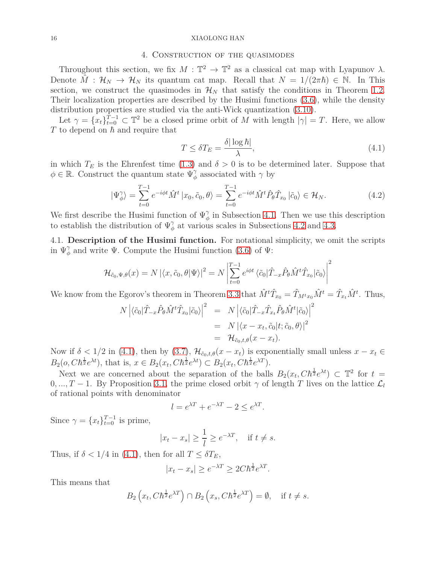### 4. Construction of the quasimodes

<span id="page-15-2"></span>Throughout this section, we fix  $M : \mathbb{T}^2 \to \mathbb{T}^2$  as a classical cat map with Lyapunov  $\lambda$ . Denote  $\hat{M}: \mathcal{H}_N \to \mathcal{H}_N$  its quantum cat map. Recall that  $N = 1/(2\pi\hbar) \in \mathbb{N}$ . In This section, we construct the quasimodes in  $\mathcal{H}_N$  that satisfy the conditions in Theorem [1.2.](#page-2-0) Their localization properties are described by the Husimi functions [\(3.6\)](#page-12-1), while the density distribution properties are studied via the anti-Wick quantization [\(3.10\)](#page-13-4).

Let  $\gamma = \{x_t\}_{t=0}^{T-1} \subset \mathbb{T}^2$  be a closed prime orbit of *M* with length  $|\gamma| = T$ . Here, we allow  $T$  to depend on  $\hbar$  and require that

<span id="page-15-3"></span>
$$
T \leq \delta T_E = \frac{\delta |\log \hbar|}{\lambda},\tag{4.1}
$$

in which  $T_E$  is the Ehrenfest time [\(1.3\)](#page-3-0) and  $\delta > 0$  is to be determined later. Suppose that  $\phi \in \mathbb{R}$ . Construct the quantum state  $\Psi_{\phi}^{\gamma}$  associated with  $\gamma$  by

<span id="page-15-1"></span>
$$
|\Psi_{\phi}^{\gamma}\rangle = \sum_{t=0}^{T-1} e^{-i\phi t} \hat{M}^t |x_0, \tilde{c}_0, \theta\rangle = \sum_{t=0}^{T-1} e^{-i\phi t} \hat{M}^t \hat{P}_{\theta} \hat{T}_{x_0} |\tilde{c}_0\rangle \in \mathcal{H}_N.
$$
 (4.2)

We first describe the Husimi function of  $\Psi^{\gamma}_{\phi}$  in Subsection [4.1.](#page-15-0) Then we use this description to establish the distribution of  $\Psi^{\gamma}_{\phi}$  at various scales in Subsections [4.2](#page-17-0) and [4.3.](#page-18-0)

<span id="page-15-0"></span>4.1. **Description of the Husimi function.** For notational simplicity, we omit the scripts in  $\Psi_{\phi}^{\gamma}$  and write  $\Psi$ . Compute the Husimi function [\(3.6\)](#page-12-1) of  $\Psi$ :

$$
\mathcal{H}_{\tilde{c}_0,\Psi,\theta}(x) = N \left| \langle x, \tilde{c}_0, \theta | \Psi \rangle \right|^2 = N \left| \sum_{t=0}^{T-1} e^{i\phi t} \left\langle \tilde{c}_0 | \hat{T}_{-x} \hat{P}_{\theta} \hat{M}^t \hat{T}_{x_0} | \tilde{c}_0 \rangle \right|^2 \right|
$$

We know from the Egorov's theorem in Theorem [3.3](#page-11-1) that  $\hat{M}^t \hat{T}_{x_0} = \hat{T}_{M^t x_0} \hat{M}^t = \hat{T}_{x_t} \hat{M}^t$ . Thus,

$$
N \left| \langle \tilde{c}_0 | \hat{T}_{-x} \hat{P}_{\theta} \hat{M}^t \hat{T}_{x_0} | \tilde{c}_0 \rangle \right|^2 = N \left| \langle \tilde{c}_0 | \hat{T}_{-x} \hat{T}_{x_t} \hat{P}_{\theta} \hat{M}^t | \tilde{c}_0 \rangle \right|^2
$$
  
=  $N \left| \langle x - x_t, \tilde{c}_0 | t; \tilde{c}_0, \theta \rangle \right|^2$   
=  $\mathcal{H}_{\tilde{c}_0, t, \theta}(x - x_t).$ 

Now if  $\delta$  < 1/2 in [\(4.1\)](#page-15-3), then by [\(3.7\)](#page-13-1),  $\mathcal{H}_{\tilde{c}_0,t,\theta}(x-x_t)$  is exponentially small unless  $x-x_t \in$  $B_2(o, C\hbar^{\frac{1}{2}}e^{\lambda t})$ , that is,  $x \in B_2(x_t, C\hbar^{\frac{1}{2}}e^{\lambda t}) \subset B_2(x_t, C\hbar^{\frac{1}{2}}e^{\lambda T})$ .

Next we are concerned about the separation of the balls  $B_2(x_t, C\hbar^{\frac{1}{2}}e^{\lambda t}) \subset \mathbb{T}^2$  for  $t =$  $0, ..., T-1$ . By Proposition [3.1,](#page-9-1) the prime closed orbit  $\gamma$  of length *T* lives on the lattice  $\mathcal{L}_l$ of rational points with denominator

$$
l = e^{\lambda T} + e^{-\lambda T} - 2 \le e^{\lambda T}.
$$

Since  $\gamma = \{x_t\}_{t=0}^{T-1}$  is prime,

$$
|x_t - x_s| \ge \frac{1}{l} \ge e^{-\lambda T}, \quad \text{if } t \ne s.
$$

Thus, if  $\delta$  < 1/4 in [\(4.1\)](#page-15-3), then for all  $T \leq \delta T_E$ ,

$$
|x_t - x_s| \ge e^{-\lambda T} \ge 2C\hbar^{\frac{1}{2}}e^{\lambda T}.
$$

This means that

$$
B_2\left(x_t, Ch^{\frac{1}{2}}e^{\lambda T}\right) \cap B_2\left(x_s, Ch^{\frac{1}{2}}e^{\lambda T}\right) = \emptyset, \quad \text{if } t \neq s.
$$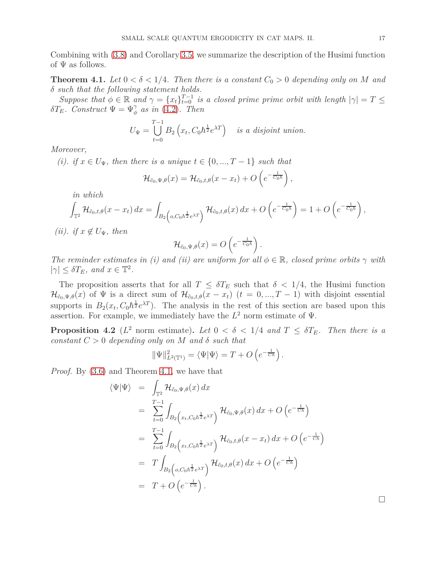Combining with [\(3.8\)](#page-13-5) and Corollary [3.5,](#page-13-6) we summarize the description of the Husimi function of  $\Psi$  as follows.

<span id="page-16-0"></span>**Theorem 4.1.** Let  $0 < \delta < 1/4$ . Then there is a constant  $C_0 > 0$  depending only on M and *δ such that the following statement holds.*

*Suppose that*  $\phi \in \mathbb{R}$  *and*  $\gamma = \{x_t\}_{t=0}^{T-1}$  *is a closed prime prime orbit with length*  $|\gamma| = T \leq$ *δT*<sub>*E*</sub>*. Construct*  $\Psi = \Psi^{\gamma}_{\phi}$  *as in* [\(4.2\)](#page-15-1)*. Then* 

$$
U_{\Psi} = \bigcup_{t=0}^{T-1} B_2\left(x_t, C_0 \hbar^{\frac{1}{2}} e^{\lambda T}\right) \text{ is a disjoint union.}
$$

*Moreover,*

*(i). if*  $x \in U_{\Psi}$ *, then there is a unique*  $t \in \{0, ..., T-1\}$  *such that* 

$$
\mathcal{H}_{\tilde{c}_0,\Psi,\theta}(x)=\mathcal{H}_{\tilde{c}_0,t,\theta}(x-x_t)+O\left(e^{-\frac{1}{C_0\hbar}}\right),\,
$$

*in which*

$$
\int_{\mathbb{T}^2} \mathcal{H}_{\tilde{c}_0,t,\theta}(x-x_t) dx = \int_{B_2\left(o,C_0\hbar^{\frac{1}{2}}e^{\lambda T}\right)} \mathcal{H}_{\tilde{c}_0,t,\theta}(x) dx + O\left(e^{-\frac{1}{C_0\hbar}}\right) = 1 + O\left(e^{-\frac{1}{C_0\hbar}}\right)
$$

*(ii). if*  $x \notin U_{\Psi}$ *, then* 

$$
\mathcal{H}_{\tilde{c}_0,\Psi,\theta}(x)=O\left(e^{-\frac{1}{C_0\hbar}}\right).
$$

*The reminder estimates in (i) and (ii) are uniform for all*  $\phi \in \mathbb{R}$ , closed prime orbits  $\gamma$  with  $|\gamma| \leq \delta T_E$ *, and*  $x \in \mathbb{T}^2$ *.* 

The proposition asserts that for all  $T \leq \delta T_E$  such that  $\delta < 1/4$ , the Husimi function  $\mathcal{H}_{\tilde{c}_0,\Psi,\theta}(x)$  of  $\Psi$  is a direct sum of  $\mathcal{H}_{\tilde{c}_0,t,\theta}(x-x_t)$  ( $t=0,...,T-1$ ) with disjoint essential supports in  $B_2(x_t, C_0\hbar^{\frac{1}{2}}e^{\lambda T})$ . The analysis in the rest of this section are based upon this assertion. For example, we immediately have the  $L^2$  norm estimate of  $\Psi$ .

<span id="page-16-1"></span>**Proposition 4.2** ( $L^2$  norm estimate). Let  $0 < \delta < 1/4$  and  $T \leq \delta T_E$ . Then there is a *constant*  $C > 0$  *depending only on*  $M$  *and*  $\delta$  *such that* 

$$
\|\Psi\|_{L^2(\mathbb{T}^1)}^2 = \langle \Psi | \Psi \rangle = T + O\left(e^{-\frac{1}{Ch}}\right).
$$

*Proof.* By [\(3.6\)](#page-12-1) and Theorem [4.1,](#page-16-0) we have that

$$
\langle \Psi | \Psi \rangle = \int_{\mathbb{T}^2} \mathcal{H}_{\tilde{c}_0, \Psi, \theta}(x) dx
$$
  
\n
$$
= \sum_{t=0}^{T-1} \int_{B_2\left(x_t, C_0 h^{\frac{1}{2}} e^{\lambda T}\right)} \mathcal{H}_{\tilde{c}_0, \Psi, \theta}(x) dx + O\left(e^{-\frac{1}{Ch}}\right)
$$
  
\n
$$
= \sum_{t=0}^{T-1} \int_{B_2\left(x_t, C_0 h^{\frac{1}{2}} e^{\lambda T}\right)} \mathcal{H}_{\tilde{c}_0, t, \theta}(x - x_t) dx + O\left(e^{-\frac{1}{Ch}}\right)
$$
  
\n
$$
= T \int_{B_2\left( o, C_0 h^{\frac{1}{2}} e^{\lambda T}\right)} \mathcal{H}_{\tilde{c}_0, t, \theta}(x) dx + O\left(e^{-\frac{1}{Ch}}\right)
$$
  
\n
$$
= T + O\left(e^{-\frac{1}{Ch}}\right).
$$

*,*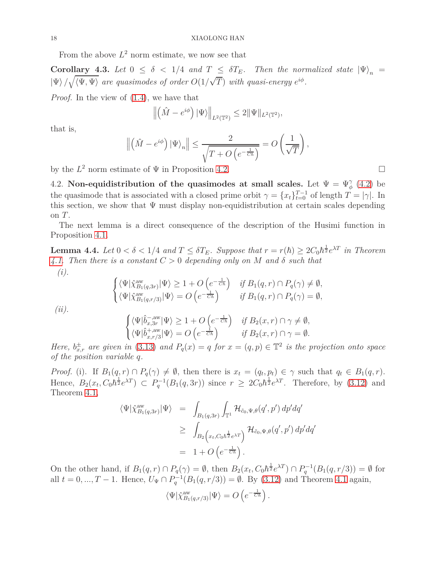From the above  $L^2$  norm estimate, we now see that

**Corollary 4.3.** *Let*  $0 \le \delta < 1/4$  *and*  $T \le \delta T_E$ *. Then the normalized state*  $|\Psi\rangle_n =$  $|\Psi\rangle / \sqrt{\langle \Psi, \Psi \rangle}$  are quasimodes of order  $O(1/\sqrt{T})$  with quasi-energy  $e^{i\phi}$ .

*Proof.* In the view of [\(1.4\)](#page-3-1), we have that

$$
\left\| \left( \hat{M} - e^{i\phi} \right) |\Psi \rangle \right\|_{L^2(\mathbb{T}^2)} \le 2 \|\Psi\|_{L^2(\mathbb{T}^2)},
$$

that is,

$$
\left\| \left( \hat{M} - e^{i\phi} \right) \left| \Psi \right\rangle_n \right\| \le \frac{2}{\sqrt{T + O\left( e^{-\frac{1}{C\hbar}} \right)}} = O\left( \frac{1}{\sqrt{T}} \right),
$$

<span id="page-17-0"></span>by the  $L^2$  norm estimate of  $\Psi$  in Proposition [4.2.](#page-16-1)

4.2. **Non-equidistribution of the quasimodes at small scales.** Let  $\Psi = \Psi_{\phi}^{\gamma}$  [\(4.2\)](#page-15-1) be the quasimode that is associated with a closed prime orbit  $\gamma = \{x_t\}_{t=0}^{T-1}$  of length  $T = |\gamma|$ . In this section, we show that  $\Psi$  must display non-equidistribution at certain scales depending on *T*.

The next lemma is a direct consequence of the description of the Husimi function in Proposition [4.1.](#page-16-0)

**Lemma 4.4.** Let  $0 < \delta < 1/4$  and  $T \leq \delta T_E$ . Suppose that  $r = r(\hbar) \geq 2C_0\hbar^{\frac{1}{2}}e^{\lambda T}$  in Theorem *[4.1.](#page-16-0) Then there is a constant C >* 0 *depending only on M and δ such that (i).*

$$
\begin{cases}\n\langle \Psi | \hat{\chi}_{B_1(q,3r)}^{\text{aw}} | \Psi \rangle \ge 1 + O\left(e^{-\frac{1}{Ch}}\right) & \text{if } B_1(q,r) \cap P_q(\gamma) \ne \emptyset, \\
\langle \Psi | \hat{\chi}_{B_1(q,r/3)}^{\text{aw}} | \Psi \rangle = O\left(e^{-\frac{1}{Ch}}\right) & \text{if } B_1(q,r) \cap P_q(\gamma) = \emptyset, \\
(ii).\n\end{cases}
$$
\n
$$
\begin{cases}\n\langle \Psi | \hat{b}_{x,3r}^{-,\text{aw}} | \Psi \rangle \ge 1 + O\left(e^{-\frac{1}{Ch}}\right) & \text{if } B_2(x,r) \cap \gamma \ne \emptyset, \\
\langle \Psi | \hat{b}_{x,r/3}^{+, \text{aw}} | \Psi \rangle = O\left(e^{-\frac{1}{Ch}}\right) & \text{if } B_2(x,r) \cap \gamma = \emptyset.\n\end{cases}
$$

*Here,*  $b_{x,r}^{\pm}$  *are given in* [\(3.13\)](#page-14-1) *and*  $P_q(x) = q$  *for*  $x = (q, p) \in \mathbb{T}^2$  *is the projection onto space of the position variable q.*

*Proof.* (i). If  $B_1(q,r) \cap P_q(\gamma) \neq \emptyset$ , then there is  $x_t = (q_t, p_t) \in \gamma$  such that  $q_t \in B_1(q,r)$ . Hence,  $B_2(x_t, C_0\hbar^{\frac{1}{2}}e^{\lambda T}) \subset P_q^{-1}(B_1(q, 3r))$  since  $r \geq 2C_0\hbar^{\frac{1}{2}}e^{\lambda T}$ . Therefore, by [\(3.12\)](#page-14-2) and Theorem [4.1,](#page-16-0)

$$
\langle \Psi | \hat{\chi}_{B_1(q,3r)}^{\text{aw}} | \Psi \rangle = \int_{B_1(q,3r)} \int_{\mathbb{T}^1} \mathcal{H}_{\tilde{c}_0,\Psi,\theta}(q',p') dp' dq'
$$
  
\n
$$
\geq \int_{B_2\left(x_t, C_0 h^{\frac{1}{2}} e^{\lambda T}\right)} \mathcal{H}_{\tilde{c}_0,\Psi,\theta}(q',p') dp' dq'
$$
  
\n
$$
= 1 + O\left(e^{-\frac{1}{C\hbar}}\right).
$$

On the other hand, if  $B_1(q,r) \cap P_q(\gamma) = \emptyset$ , then  $B_2(x_t, C_0 h^{\frac{1}{2}} e^{\lambda T}) \cap P_q^{-1}(B_1(q,r/3)) = \emptyset$  for all  $t = 0, ..., T - 1$ . Hence,  $U_{\Psi} \cap P_q^{-1}(B_1(q, r/3)) = \emptyset$ . By [\(3.12\)](#page-14-2) and Theorem [4.1](#page-16-0) again,

$$
\langle \Psi | \hat{\chi}_{B_1(q,r/3)}^{\text{aw}} | \Psi \rangle = O\left( e^{-\frac{1}{Ch}} \right).
$$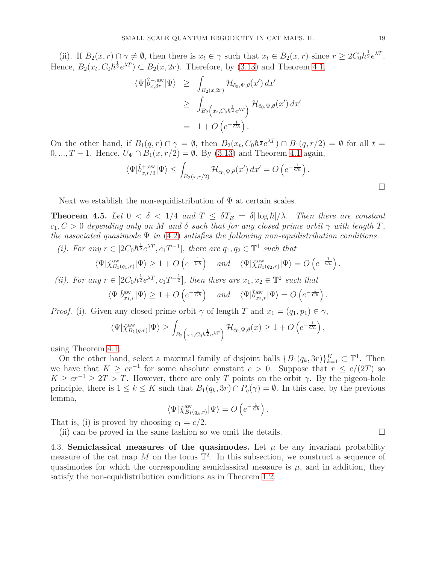(ii). If  $B_2(x, r) \cap \gamma \neq \emptyset$ , then there is  $x_t \in \gamma$  such that  $x_t \in B_2(x, r)$  since  $r \geq 2C_0\hbar^{\frac{1}{2}}e^{\lambda T}$ . Hence,  $B_2(x_t, C_0\hbar^{\frac{1}{2}}e^{\lambda T}) \subset B_2(x, 2r)$ . Therefore, by [\(3.13\)](#page-14-1) and Theorem [4.1,](#page-16-0)

$$
\langle \Psi | \hat{b}_{x,3r}^{-,\text{aw}} | \Psi \rangle \geq \int_{B_2(x,2r)} \mathcal{H}_{\tilde{c}_0,\Psi,\theta}(x') dx'
$$
  
\n
$$
\geq \int_{B_2(x,t,C_0\hbar^{\frac{1}{2}}e^{\lambda T})} \mathcal{H}_{\tilde{c}_0,\Psi,\theta}(x') dx'
$$
  
\n
$$
= 1 + O\left(e^{-\frac{1}{Ch}}\right).
$$

On the other hand, if  $B_1(q,r) \cap \gamma = \emptyset$ , then  $B_2(x_t, C_0 \hbar^{\frac{1}{2}} e^{\lambda T}) \cap B_1(q,r/2) = \emptyset$  for all  $t =$ 0, ..., *T* − 1. Hence,  $U_{\Psi} \cap B_1(x, r/2) = \emptyset$ . By [\(3.13\)](#page-14-1) and Theorem [4.1](#page-16-0) again,

$$
\langle \Psi | \hat{b}^{+,\mathrm{aw}}_{x,r/3} | \Psi \rangle \leq \int_{B_2(x,r/2)} \mathcal{H}_{\tilde{c}_0,\Psi,\theta}(x') dx' = O\left(e^{-\frac{1}{C\hbar}}\right).
$$

Next we establish the non-equidistribution of  $\Psi$  at certain scales.

<span id="page-18-1"></span>**Theorem 4.5.** Let  $0 < \delta < 1/4$  and  $T \leq \delta T_E = \delta |\log \hbar|/\lambda$ . Then there are constant  $c_1, C > 0$  *depending only on M and δ such that for any closed prime orbit*  $\gamma$  *with length T*, *the associated quasimode* Ψ *in* [\(4.2\)](#page-15-1) *satisfies the following non-equidistribution conditions.*

(*i*). For any  $r \in [2C_0\hbar^{\frac{1}{2}}e^{\lambda T}, c_1T^{-1}]$ , there are  $q_1, q_2 \in \mathbb{T}^1$  such that

 $\langle \Psi | \hat{\chi}_{B_1(q_1,r)}^{\rm aw} | \Psi \rangle \ge 1 + O\left(e^{-\frac{1}{Ch}}\right)$  and  $\langle \Psi | \hat{\chi}_{B_1(q_2,r)}^{\rm aw} | \Psi \rangle = O\left(e^{-\frac{1}{Ch}}\right).$ 

*(ii). For any*  $r \in [2C_0\hbar^{\frac{1}{2}}e^{\lambda T}, c_1T^{-\frac{1}{2}}]$ , then there are  $x_1, x_2 \in \mathbb{T}^2$  such that  $\langle \Psi | \hat{b}^{\text{aw}}_{x_1,r} | \Psi \rangle \ge 1 + O\left( e^{-\frac{1}{C\hbar}} \right)$  and  $\langle \Psi | \hat{b}^{\text{aw}}_{x_2,r} | \Psi \rangle = O\left( e^{-\frac{1}{C\hbar}} \right)$ .

*Proof.* (i). Given any closed prime orbit  $\gamma$  of length *T* and  $x_1 = (q_1, p_1) \in \gamma$ ,

$$
\langle \Psi | \hat{\chi}_{B_1(q,r)}^{\text{aw}} | \Psi \rangle \geq \int_{B_2\left(x_1, C_0 \hbar^{\frac{1}{2}} e^{\lambda T}\right)} \mathcal{H}_{\tilde{c}_0, \Psi, \theta}(x) \geq 1 + O\left(e^{-\frac{1}{C\hbar}}\right),
$$

using Theorem [4.1.](#page-16-0)

On the other hand, select a maximal family of disjoint balls  ${B_1(q_k, 3r)}_{k=1}^K \subset \mathbb{T}^1$ . Then we have that  $K \geq cr^{-1}$  for some absolute constant  $c > 0$ . Suppose that  $r \leq c/(2T)$  so  $K \geq cr^{-1} \geq 2T > T$ . However, there are only *T* points on the orbit *γ*. By the pigeon-hole principle, there is  $1 \leq k \leq K$  such that  $B_1(q_k, 3r) \cap P_q(\gamma) = \emptyset$ . In this case, by the previous lemma,

$$
\langle \Psi | \hat{\chi}_{B_1(q_k,r)}^{\text{aw}} | \Psi \rangle = O\left(e^{-\frac{1}{Ch}}\right).
$$

That is, (i) is proved by choosing  $c_1 = c/2$ .

(ii) can be proved in the same fashion so we omit the details.  $\Box$ 

<span id="page-18-0"></span>4.3. **Semiclassical measures of the quasimodes.** Let  $\mu$  be any invariant probability measure of the cat map  $M$  on the torus  $\mathbb{T}^2$ . In this subsection, we construct a sequence of quasimodes for which the corresponding semiclassical measure is  $\mu$ , and in addition, they satisfy the non-equidistribution conditions as in Theorem [1.2.](#page-2-0)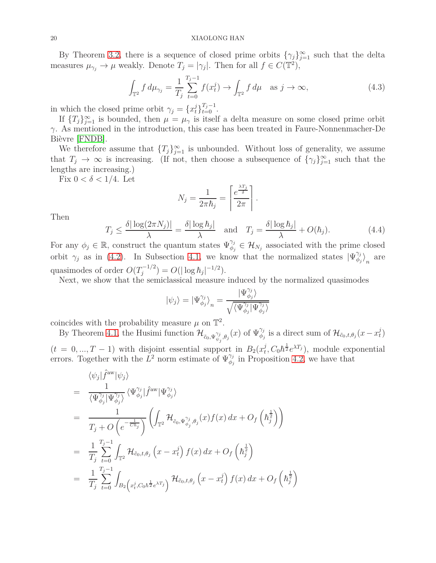By Theorem [3.2,](#page-10-4) there is a sequence of closed prime orbits  $\{\gamma_j\}_{j=1}^{\infty}$  such that the delta measures  $\mu_{\gamma_j} \to \mu$  weakly. Denote  $T_j = |\gamma_j|$ . Then for all  $f \in C(\mathbb{T}^2)$ ,

<span id="page-19-0"></span>
$$
\int_{\mathbb{T}^2} f \, d\mu_{\gamma_j} = \frac{1}{T_j} \sum_{t=0}^{T_j - 1} f(x_t^j) \to \int_{\mathbb{T}^2} f \, d\mu \quad \text{as } j \to \infty,
$$
\n(4.3)

in which the closed prime orbit  $\gamma_j = \{x_t^j\}_{t=0}^{T_j-1}$ .

If  ${T_j}_{j=1}^{\infty}$  is bounded, then  $\mu = \mu_{\gamma}$  is itself a delta measure on some closed prime orbit *γ*. As mentioned in the introduction, this case has been treated in Faure-Nonnenmacher-De Bièvre [\[FNDB\]](#page-21-4).

We therefore assume that  ${T_j}_{j=1}^{\infty}$  is unbounded. Without loss of generality, we assume that  $T_j \to \infty$  is increasing. (If not, then choose a subsequence of  $\{\gamma_j\}_{j=1}^{\infty}$  such that the lengths are increasing.)

Fix  $0 < \delta < 1/4$ . Let

$$
N_j = \frac{1}{2\pi\hbar_j} = \left\lceil \frac{e^{\frac{\lambda T_j}{\delta}}}{2\pi} \right\rceil.
$$

Then

<span id="page-19-1"></span>
$$
T_j \le \frac{\delta |\log(2\pi N_j)|}{\lambda} = \frac{\delta |\log \hbar_j|}{\lambda} \quad \text{and} \quad T_j = \frac{\delta |\log \hbar_j|}{\lambda} + O(\hbar_j). \tag{4.4}
$$

For any  $\phi_j \in \mathbb{R}$ , construct the quantum states  $\Psi_{\phi_j}^{\gamma_j} \in \mathcal{H}_{N_j}$  associated with the prime closed orbit  $\gamma_j$  as in [\(4.2\)](#page-15-1). In Subsection [4.1,](#page-15-0) we know that the normalized states  $|\Psi_{\phi_j}^{\gamma_j}|$  $\binom{q_j}{\phi_j}_n$  are quasimodes of order  $O(T_i^{-1/2})$  $j^{-(1/2)} = O(|\log \hbar_j|^{-1/2}).$ 

Next, we show that the semiclassical measure induced by the normalized quasimodes

$$
|\psi_j\rangle = \left| \Psi^{\gamma_j}_{\phi_j} \right\rangle_n = \frac{|\Psi^{\gamma_j}_{\phi_j}\rangle}{\sqrt{\langle \Psi^{\gamma_j}_{\phi_j} | \Psi^{\gamma_j}_{\phi_j} \rangle}}
$$

coincides with the probability measure  $\mu$  on  $\mathbb{T}^2$ .

By Theorem [4.1,](#page-16-0) the Husimi function  $\mathcal{H}_{\tilde{c}_0, \Psi_{\psi}^{\gamma_j}}$  $\psi_j^j, \theta_j(x)$  of  $\Psi_{\phi_j}^{\gamma_j}$  is a direct sum of  $\mathcal{H}_{\tilde{c}_0, t, \theta_j}(x - x_t^j)$ *t* )  $(t = 0, ..., T - 1)$  with disjoint essential support in  $B_2(x_t^j)$  $\frac{1}{2}$ ,  $C_0 \hbar^{\frac{1}{2}} e^{\lambda T_j}$ , module exponential errors. Together with the  $\hat{L}^2$  norm estimate of  $\Psi_{\phi_j}^{\gamma_j}$  in Proposition [4.2,](#page-16-1) we have that

$$
\langle \psi_j | \hat{f}^{\text{aw}} | \psi_j \rangle
$$
\n
$$
= \frac{1}{\langle \Psi_{\phi_j}^{\gamma_j} | \Psi_{\phi_j}^{\gamma_j} \rangle} \langle \Psi_{\phi_j}^{\gamma_j} | \hat{f}^{\text{aw}} | \Psi_{\phi_j}^{\gamma_j} \rangle
$$
\n
$$
= \frac{1}{T_j + O\left(e^{-\frac{1}{Ch_j}}\right)} \left( \int_{\mathbb{T}^2} \mathcal{H}_{\tilde{c}_0, \Psi_{\phi_j}^{\gamma_j}, \theta_j}(x) f(x) dx + O_f\left(\hbar_j^{\frac{1}{2}}\right) \right)
$$
\n
$$
= \frac{1}{T_j} \sum_{t=0}^{T_j - 1} \int_{\mathbb{T}^2} \mathcal{H}_{\tilde{c}_0, t, \theta_j}(x - x_t^j) f(x) dx + O_f\left(\hbar_j^{\frac{1}{2}}\right)
$$
\n
$$
= \frac{1}{T_j} \sum_{t=0}^{T_j - 1} \int_{B_2\left(x_t^j, C_0 \hbar_j^{\frac{1}{2}} e^{\lambda T_j}\right)} \mathcal{H}_{\tilde{c}_0, t, \theta_j}(x - x_t^j) f(x) dx + O_f\left(\hbar_j^{\frac{1}{2}}\right)
$$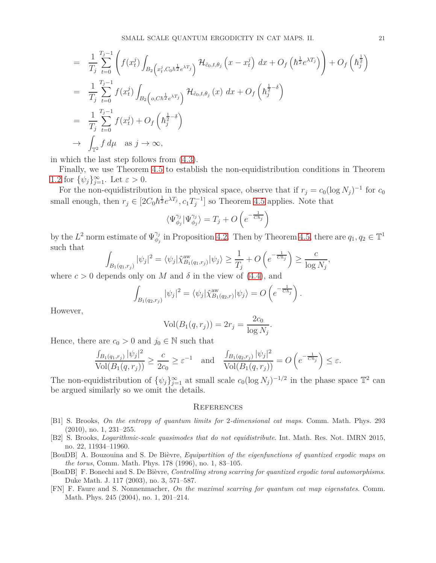$$
\begin{split}\n&= \frac{1}{T_j} \sum_{t=0}^{T_j-1} \left( f(x_t^j) \int_{B_2\left(x_t^j, C_0 h^{\frac{1}{2}} e^{\lambda T_j}\right)} \mathcal{H}_{\tilde{c}_0, t, \theta_j} \left(x - x_t^j\right) dx + O_f\left(h^{\frac{1}{2}} e^{\lambda T_j}\right) \right) + O_f\left(h^{\frac{1}{2}}\right) \\
&= \frac{1}{T_j} \sum_{t=0}^{T_j-1} f(x_t^j) \int_{B_2\left( o, C h^{\frac{1}{2}} e^{\lambda T_j} \right)} \mathcal{H}_{\tilde{c}_0, t, \theta_j} \left(x\right) dx + O_f\left(h^{\frac{1}{2}-\delta}\right) \\
&= \frac{1}{T_j} \sum_{t=0}^{T_j-1} f(x_t^j) + O_f\left(h^{\frac{1}{2}-\delta}\right) \\
&\to \int_{\mathbb{T}^2} f d\mu \quad \text{as } j \to \infty,\n\end{split}
$$

in which the last step follows from [\(4.3\)](#page-19-0).

Finally, we use Theorem [4.5](#page-18-1) to establish the non-equidistribution conditions in Theorem [1.2](#page-2-0) for  $\{\psi_j\}_{j=1}^{\infty}$ . Let  $\varepsilon > 0$ .

For the non-equidistribution in the physical space, observe that if  $r_j = c_0(\log N_j)^{-1}$  for  $c_0$ small enough, then  $r_j \in [2C_0\hbar^{\frac{1}{2}}e^{\lambda T_j}, c_1T_j^{-1}]$  so Theorem [4.5](#page-18-1) applies. Note that

$$
\langle \Psi_{\phi_j}^{\gamma_j} | \Psi_{\phi_j}^{\gamma_j} \rangle = T_j + O\left(e^{-\frac{1}{C h_j}}\right)
$$

by the  $L^2$  norm estimate of  $\Psi_{\phi_j}^{\gamma_j}$  in Proposition [4.2.](#page-16-1) Then by Theorem [4.5,](#page-18-1) there are  $q_1, q_2 \in \mathbb{T}^1$ such that

$$
\int_{B_1(q_1,r_j)} |\psi_j|^2 = \langle \psi_j | \hat{\chi}_{B_1(q_1,r_j)}^{\text{aw}} | \psi_j \rangle \ge \frac{1}{T_j} + O\left(e^{-\frac{1}{Ch_j}}\right) \ge \frac{c}{\log N_j},
$$

where  $c > 0$  depends only on M and  $\delta$  in the view of [\(4.4\)](#page-19-1), and

$$
\int_{B_1(q_2,r_j)} |\psi_j|^2 = \langle \psi_j | \hat{\chi}_{B_1(q_2,r)}^{\text{aw}} | \psi_j \rangle = O\left(e^{-\frac{1}{Ch_j}}\right).
$$

However,

$$
Vol(B_1(q, r_j)) = 2r_j = \frac{2c_0}{\log N_j}.
$$

Hence, there are  $c_0 > 0$  and  $j_0 \in \mathbb{N}$  such that

$$
\frac{\int_{B_1(q_1,r_j)} |\psi_j|^2}{\text{Vol}(B_1(q,r_j))} \ge \frac{c}{2c_0} \ge \varepsilon^{-1} \quad \text{and} \quad \frac{\int_{B_1(q_2,r_j)} |\psi_j|^2}{\text{Vol}(B_1(q,r_j))} = O\left(e^{-\frac{1}{C\hbar_j}}\right) \le \varepsilon.
$$

The non-equidistribution of  $\{\psi_j\}_{j=1}^{\infty}$  at small scale  $c_0(\log N_j)^{-1/2}$  in the phase space  $\mathbb{T}^2$  can be argued similarly so we omit the details.

# **REFERENCES**

- <span id="page-20-1"></span>[B1] S. Brooks, *On the entropy of quantum limits for* 2*-dimensional cat maps*. Comm. Math. Phys. 293 (2010), no. 1, 231–255.
- <span id="page-20-4"></span>[B2] S. Brooks, *Logarithmic-scale quasimodes that do not equidistribute*. Int. Math. Res. Not. IMRN 2015, no. 22, 11934–11960.
- <span id="page-20-0"></span>[BouDB] A. Bouzouina and S. De Bièvre, *Equipartition of the eigenfunctions of quantized ergodic maps on the torus*, Comm. Math. Phys. 178 (1996), no. 1, 83–105.
- <span id="page-20-2"></span>[BonDB] F. Bonechi and S. De Bièvre, *Controlling strong scarring for quantized ergodic toral automorphisms*. Duke Math. J. 117 (2003), no. 3, 571–587.
- <span id="page-20-3"></span>[FN] F. Faure and S. Nonnenmacher, *On the maximal scarring for quantum cat map eigenstates*. Comm. Math. Phys. 245 (2004), no. 1, 201–214.